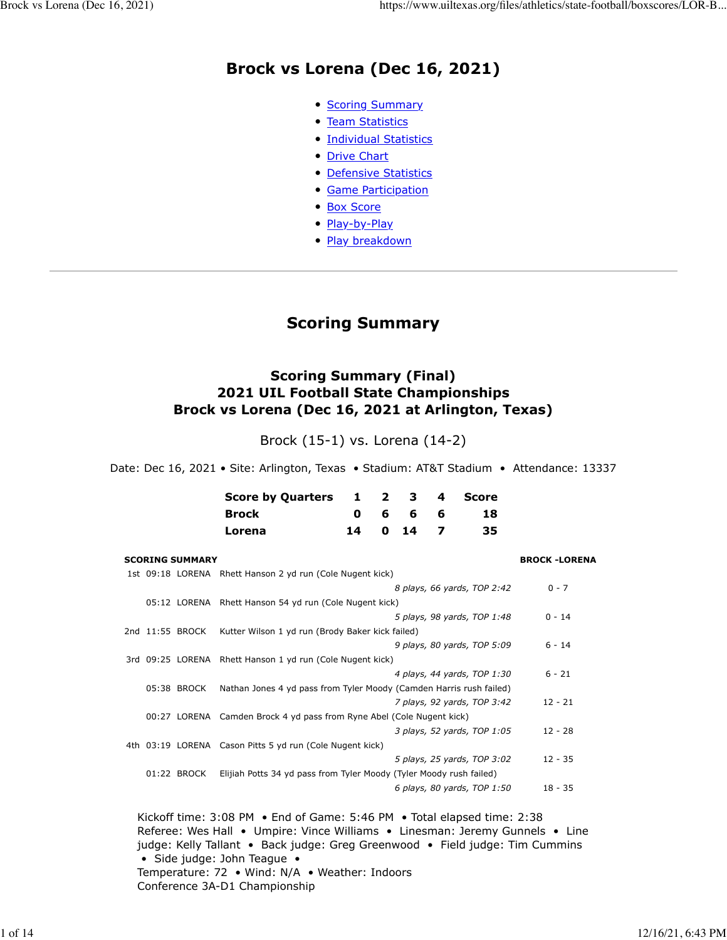# **Brock vs Lorena (Dec 16, 2021)**

- [Scoring Summary](https://www.uiltexas.org/files/athletics/state-football/boxscores/LOR-BRO.HTM#GAME.SUM)
- [Team Statistics](https://www.uiltexas.org/files/athletics/state-football/boxscores/LOR-BRO.HTM#GAME.TEM)
- [Individual Statistics](https://www.uiltexas.org/files/athletics/state-football/boxscores/LOR-BRO.HTM#GAME.IND)
- [Drive Chart](https://www.uiltexas.org/files/athletics/state-football/boxscores/LOR-BRO.HTM#GAME.DRV)
- [Defensive Statistics](https://www.uiltexas.org/files/athletics/state-football/boxscores/LOR-BRO.HTM#GAME.DEF)
- [Game Participation](https://www.uiltexas.org/files/athletics/state-football/boxscores/LOR-BRO.HTM#GAME.PRE)
- [Box Score](https://www.uiltexas.org/files/athletics/state-football/boxscores/LOR-BRO.HTM#GAME.NEW)
- [Play-by-Play](https://www.uiltexas.org/files/athletics/state-football/boxscores/LOR-BRO.HTM#GAME.PLY)
- [Play breakdown](https://www.uiltexas.org/files/athletics/state-football/boxscores/LOR-BRO.HTM#GAME.SCO)

# **Scoring Summary**

## **Scoring Summary (Final) 2021 UIL Football State Championships Brock vs Lorena (Dec 16, 2021 at Arlington, Texas)**

Brock (15-1) vs. Lorena (14-2)

Date: Dec 16, 2021 • Site: Arlington, Texas • Stadium: AT&T Stadium • Attendance: 13337

| Score by Quarters 1 2 3 4 Score |  |           |     |     |
|---------------------------------|--|-----------|-----|-----|
| <b>Brock</b>                    |  | 066       | - 6 | 18  |
| Lorena                          |  | 14 0 14 7 |     | 35. |

| <b>SCORING SUMMARY</b> |                                                                       | <b>BROCK-LORENA</b> |
|------------------------|-----------------------------------------------------------------------|---------------------|
|                        | 1st 09:18 LORENA Rhett Hanson 2 yd run (Cole Nugent kick)             |                     |
|                        | 8 plays, 66 yards, TOP 2:42                                           | $0 - 7$             |
|                        | 05:12 LORENA Rhett Hanson 54 yd run (Cole Nugent kick)                |                     |
|                        | 5 plays, 98 yards, TOP 1:48                                           | $0 - 14$            |
| 2nd 11:55 BROCK        | Kutter Wilson 1 yd run (Brody Baker kick failed)                      |                     |
|                        | 9 plays, 80 yards, TOP 5:09                                           | $6 - 14$            |
|                        | 3rd 09:25 LORENA Rhett Hanson 1 yd run (Cole Nugent kick)             |                     |
|                        | 4 plays, 44 yards, TOP 1:30                                           | $6 - 21$            |
| 05:38 BROCK            | Nathan Jones 4 yd pass from Tyler Moody (Camden Harris rush failed)   |                     |
|                        | 7 plays, 92 yards, TOP 3:42                                           | $12 - 21$           |
|                        | 00:27 LORENA Camden Brock 4 yd pass from Ryne Abel (Cole Nugent kick) |                     |
|                        | 3 plays, 52 yards, TOP 1:05                                           | $12 - 28$           |
|                        | 4th 03:19 LORENA Cason Pitts 5 yd run (Cole Nugent kick)              |                     |
|                        | 5 plays, 25 yards, TOP 3:02                                           | $12 - 35$           |
| 01:22 BROCK            | Elijiah Potts 34 yd pass from Tyler Moody (Tyler Moody rush failed)   |                     |
|                        | 6 plays, 80 yards, TOP 1:50                                           | $18 - 35$           |
|                        |                                                                       |                     |

Kickoff time: 3:08 PM • End of Game: 5:46 PM • Total elapsed time: 2:38 Referee: Wes Hall • Umpire: Vince Williams • Linesman: Jeremy Gunnels • Line judge: Kelly Tallant • Back judge: Greg Greenwood • Field judge: Tim Cummins • Side judge: John Teague • Temperature: 72 • Wind: N/A • Weather: Indoors Conference 3A-D1 Championship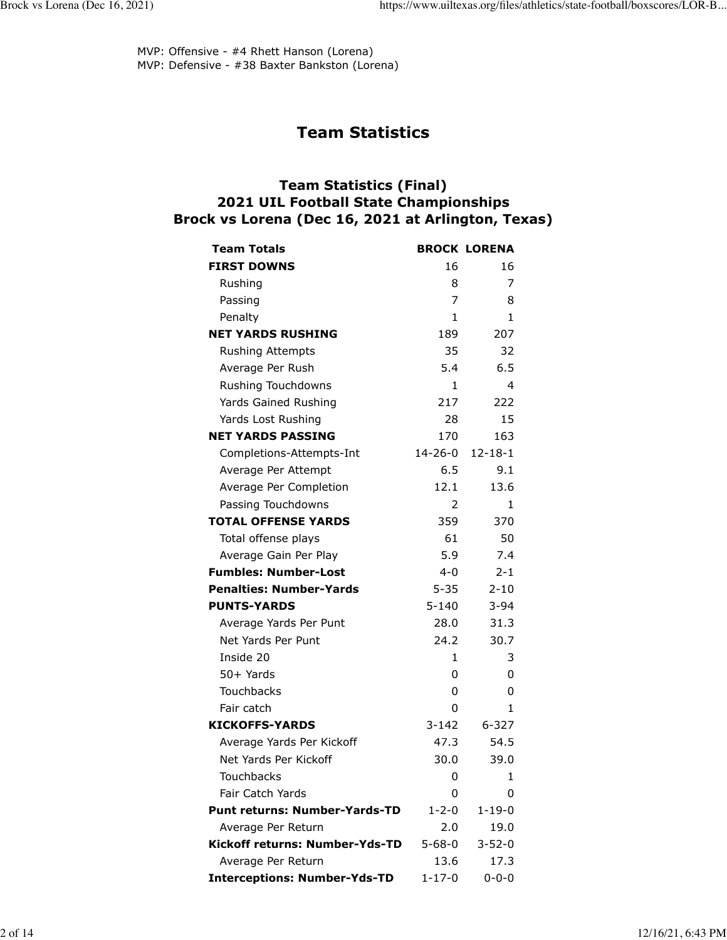MVP: Offensive - #4 Rhett Hanson (Lorena) MVP: Defensive - #38 Baxter Bankston (Lorena)

# **Team Statistics**

# **Team Statistics (Final) 2021 UIL Football State Championships Brock vs Lorena (Dec 16, 2021 at Arlington, Texas)**

| <b>Team Totals</b>                   |                          | <b>BROCK LORENA</b> |
|--------------------------------------|--------------------------|---------------------|
| <b>FIRST DOWNS</b>                   | 16                       | 16                  |
| Rushing                              | 8                        | 7                   |
| Passing                              | 7                        | 8                   |
| Penalty                              | 1                        | 1                   |
| <b>NET YARDS RUSHING</b>             | 189                      | 207                 |
| <b>Rushing Attempts</b>              | 35                       | 32                  |
| Average Per Rush                     | 5.4                      | 6.5                 |
| Rushing Touchdowns                   | 1                        | 4                   |
| Yards Gained Rushing                 | 217                      | 222                 |
| Yards Lost Rushing                   | 28                       | 15                  |
| <b>NET YARDS PASSING</b>             | 170                      | 163                 |
| Completions-Attempts-Int             | 14-26-0                  | $12 - 18 - 1$       |
| Average Per Attempt                  | 6.5                      | 9.1                 |
| Average Per Completion               | 12.1                     | 13.6                |
| Passing Touchdowns                   | 2                        | 1                   |
| <b>TOTAL OFFENSE YARDS</b>           | 359                      | 370                 |
| Total offense plays                  | 61                       | 50                  |
| Average Gain Per Play                | 5.9                      | 7.4                 |
| <b>Fumbles: Number-Lost</b>          | $4 - 0$                  | $2 - 1$             |
| <b>Penalties: Number-Yards</b>       | $5 - 35$                 | $2 - 10$            |
| <b>PUNTS-YARDS</b>                   | $5 - 140$                | $3 - 94$            |
| Average Yards Per Punt               | 28.0                     | 31.3                |
| Net Yards Per Punt                   | 24.2                     | 30.7                |
| Inside 20                            | 1                        | 3                   |
| 50+ Yards                            | 0                        | 0                   |
| <b>Touchbacks</b>                    | 0                        | 0                   |
| Fair catch                           | 0                        | 1                   |
| <b>KICKOFFS-YARDS</b>                | $3 - 142$                | $6 - 327$           |
| Average Yards Per Kickoff            | 47.3                     | 54.5                |
| Net Yards Per Kickoff                | 30.0                     | 39.0                |
| Touchbacks                           | $\overline{\phantom{0}}$ | $\blacksquare$      |
| <b>Fair Catch Yards</b>              | 0                        | 0                   |
| <b>Punt returns: Number-Yards-TD</b> | $1 - 2 - 0$              | $1 - 19 - 0$        |
| Average Per Return                   | 2.0                      | 19.0                |
| Kickoff returns: Number-Yds-TD       | $5 - 68 - 0$             | $3 - 52 - 0$        |
| Average Per Return                   | 13.6                     | 17.3                |
| <b>Interceptions: Number-Yds-TD</b>  | $1 - 17 - 0$             | $0 - 0 - 0$         |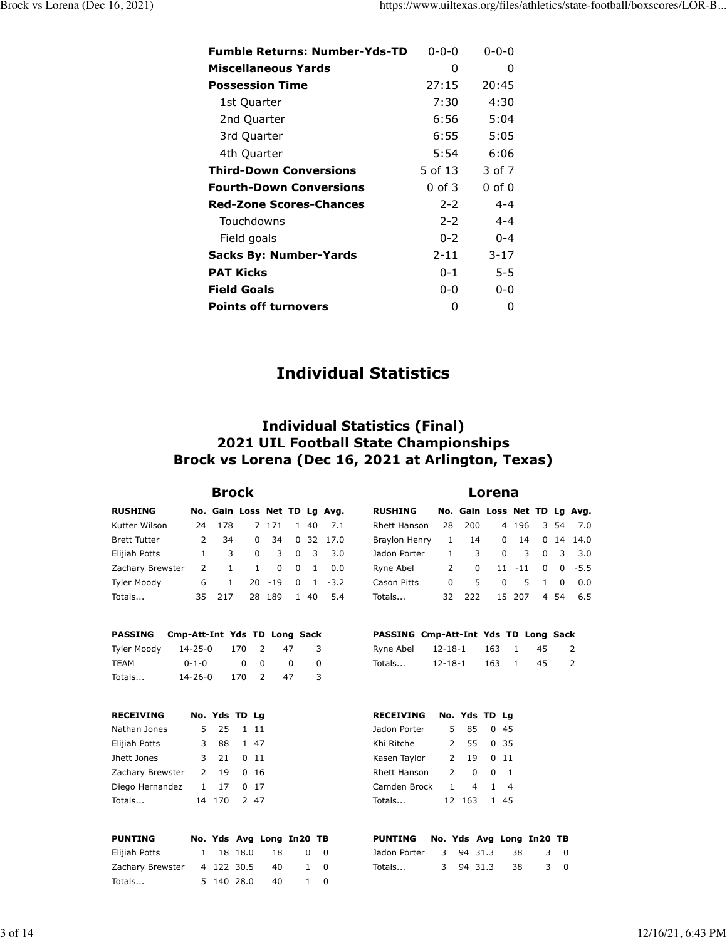| <b>Fumble Returns: Number-Yds-TD</b> | $0 - 0 - 0$ | $0 - 0 - 0$ |
|--------------------------------------|-------------|-------------|
| <b>Miscellaneous Yards</b>           | O           | O           |
| <b>Possession Time</b>               | 27:15       | 20:45       |
| 1st Quarter                          | 7:30        | 4:30        |
| 2nd Quarter                          | 6:56        | 5:04        |
| 3rd Quarter                          | 6:55        | 5:05        |
| 4th Quarter                          | 5:54        | 6:06        |
| <b>Third-Down Conversions</b>        | 5 of 13     | 3 of 7      |
| <b>Fourth-Down Conversions</b>       | $0$ of $3$  | $0$ of $0$  |
| <b>Red-Zone Scores-Chances</b>       | $2 - 2$     | $4 - 4$     |
| Touchdowns                           | $2 - 2$     | $4 - 4$     |
| Field goals                          | $0 - 2$     | $0 - 4$     |
| <b>Sacks By: Number-Yards</b>        | $2 - 11$    | $3 - 17$    |
| <b>PAT Kicks</b>                     | $0 - 1$     | $5 - 5$     |
| <b>Field Goals</b>                   | $0 - 0$     | $0 - 0$     |
| <b>Points off turnovers</b>          | O           | 0           |

# **Individual Statistics**

# **Individual Statistics (Final) 2021 UIL Football State Championships Brock vs Lorena (Dec 16, 2021 at Arlington, Texas)**

| <b>Brock</b>        |               |     |                              |           |                |                         |             |                | Lorena        |                  |          |                |
|---------------------|---------------|-----|------------------------------|-----------|----------------|-------------------------|-------------|----------------|---------------|------------------|----------|----------------|
| <b>RUSHING</b>      |               |     | No. Gain Loss Net TD Lg Avg. |           |                |                         |             | <b>RUSHING</b> |               | No. Gain Loss No |          |                |
| Kutter Wilson       | 24            | 178 | 7                            | 171       | $\mathbf{1}$   | 40                      | 7.1         | Rhett Hanson   | 28            | 200              |          | $4 \t19$       |
| <b>Brett Tutter</b> | 2             | 34  | 0                            | - 34      |                |                         | 0, 32, 17.0 | Braylon Henry  | 1             | 14               |          | 0 <sub>1</sub> |
| Elijiah Potts       | 1             | 3   | 0                            | 3         | $\overline{0}$ | $\overline{\mathbf{3}}$ | 3.0         | Jadon Porter   | 1.            | 3                | 0        |                |
| Zachary Brewster    | $\mathcal{L}$ | 1   | 1                            | 0         | $\overline{0}$ | $\overline{1}$          | 0.0         | Ryne Abel      | $\mathcal{P}$ | $\Omega$         | $11 - 1$ |                |
| Tyler Moody         | 6             | 1.  |                              | $20 - 19$ | $\Omega$       |                         | $1 - 3.2$   | Cason Pitts    | $\Omega$      | 5                | 0        |                |
| Totals              | 35.           | 217 |                              | 28 189    | $\mathbf{1}$   | 40                      | 5.4         | Totals         | 32            | 222              | 15 20    |                |

|             | PASSING Cmp-Att-Int Yds TD Long Sack |     |     |    |  |
|-------------|--------------------------------------|-----|-----|----|--|
| Tyler Moody | 14-25-0                              | 170 | -47 | 3. |  |

| .      |             |       |     |   |
|--------|-------------|-------|-----|---|
| TEAM   | $0 - 1 - 0$ | ი ი   | n   | 0 |
| Totals | 14-26-0     | 170 2 | -47 | 3 |

| <b>RECEIVING</b>     |   | No. Yds TD Lg |         |       |  |
|----------------------|---|---------------|---------|-------|--|
| Nathan Jones         |   | 5 25 1 11     |         |       |  |
| Elijiah Potts        | 3 |               | 88 1 47 |       |  |
| Jhett Jones          |   | 3 21 0 11     |         |       |  |
| Zachary Brewster     |   | 2 19          |         | 0, 16 |  |
| Diego Hernandez 1 17 |   |               |         | 0, 17 |  |
| Totals               |   | 14 170 2 47   |         |       |  |
|                      |   |               |         |       |  |

| <b>PUNTING</b>   |  |            | No. Yds Avg Long In20 TB |              |            |
|------------------|--|------------|--------------------------|--------------|------------|
| Elijiah Potts    |  | 1 18 18.0  | - 18                     |              | $0\quad 0$ |
| Zachary Brewster |  | 4 122 30.5 | 40                       |              | 1 0        |
| Totals           |  | 5 140 28.0 | - 40                     | $\mathbf{1}$ |            |

| <b>RUSHING</b>                    |                | No. Gain Loss Net TD Lg Avg. |                     |  |                                       |  |
|-----------------------------------|----------------|------------------------------|---------------------|--|---------------------------------------|--|
| Rhett Hanson 28 200               |                |                              |                     |  | 4 196 3 54 7.0                        |  |
| Braylon Henry 1 14 0 14 0 14 14.0 |                |                              |                     |  |                                       |  |
| Jadon Porter 1 3                  |                |                              |                     |  | $0 \t3 \t0 \t3 \t3.0$                 |  |
| Ryne Abel                         | $\overline{2}$ |                              | $0$ 11 -11 0 0 -5.5 |  |                                       |  |
| Cason Pitts                       |                | $0 \quad 5$                  |                     |  | $0 \quad 5 \quad 1 \quad 0 \quad 0.0$ |  |
| Totals                            |                | 32 222 15 207 4 54 6.5       |                     |  |                                       |  |

### **PASSING Cmp-Att-Int Yds TD Long Sack**

| Ryne Abel | 12-18-1 163 1 |       | - 45 |  |
|-----------|---------------|-------|------|--|
| Totals    | 12-18-1       | 163 1 | - 45 |  |

| <b>RECEIVING</b> |               | No. Yds TD Lg  |                |                |  |
|------------------|---------------|----------------|----------------|----------------|--|
| Jadon Porter     | 5.            | 85             |                | 0.45           |  |
| Khi Ritche       | 2             | 55             |                | 0.35           |  |
| Kasen Taylor     | $\mathcal{P}$ | 19             | 0 11           |                |  |
| Rhett Hanson     | 2             | $\Omega$       | O              | $\overline{1}$ |  |
| Camden Brock     | $\mathbf{1}$  | $\overline{4}$ | $\overline{1}$ | $\overline{4}$ |  |
| Totals           |               | 12 163 1 45    |                |                |  |
|                  |               |                |                |                |  |

| PUNTING No. Yds Avg Long In20 TB |  |              |     |
|----------------------------------|--|--------------|-----|
| Jadon Porter 3 94 31.3 38 3 0    |  |              |     |
| Totals                           |  | 3 94 31.3 38 | 3 0 |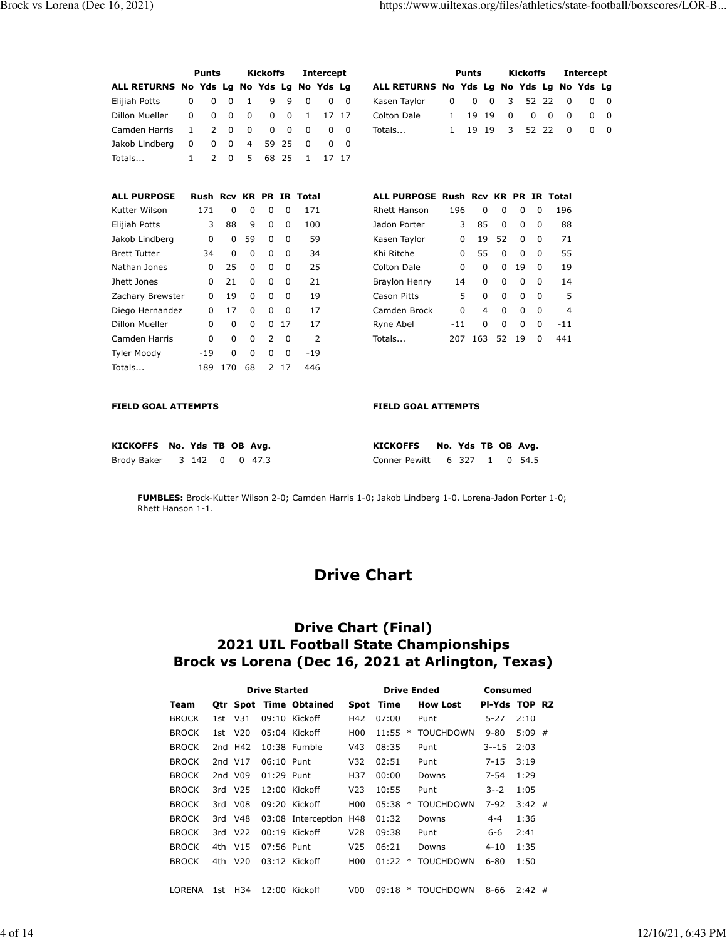**Intercept ALL RETURNS No Yds Lg No Yds Lg No Yds Lg**   $0$  0  $0$  $0$  0 0  $0\qquad 0\qquad 0$ 

|                                           | <b>Punts</b>            |             |                | <b>Kickoffs</b> |          |          | <b>Intercept</b> |          |                                     |              | <b>Punts</b> |          |                   | <b>Kickoffs</b> |              | In             |
|-------------------------------------------|-------------------------|-------------|----------------|-----------------|----------|----------|------------------|----------|-------------------------------------|--------------|--------------|----------|-------------------|-----------------|--------------|----------------|
| ALL RETURNS No Yds Lg No Yds Lg No Yds Lg |                         |             |                |                 |          |          |                  |          | ALL RETURNS No Yds Lg No Yds Lg     |              |              |          |                   |                 |              | No             |
| Elijiah Potts                             | 0<br>$\Omega$           | 0           | 1              | 9               | 9        | $\Omega$ | 0                | $\Omega$ | Kasen Taylor                        | $\Omega$     | $\Omega$     | $\Omega$ | 3                 |                 | 52 22        | $\Omega$       |
| Dillon Mueller                            | $\Omega$<br>$\Omega$    | 0           | 0              | $\Omega$        | 0        | 1        | 17               | 17       | Colton Dale                         | $\mathbf{1}$ | 19           | 19       | $\Omega$          | 0               | $\Omega$     | $\Omega$       |
| Camden Harris                             | 2<br>$\mathbf{1}$       | $\Omega$    | $\Omega$       | $\Omega$        | $\Omega$ | $\Omega$ | 0                | $\Omega$ | Totals                              | 1            | 19           | 19       | 3                 |                 | 52 22        | $\Omega$       |
| Jakob Lindberg                            | 0<br>0                  | 0           | $\overline{4}$ | 59              | 25       | 0        | 0                | $\Omega$ |                                     |              |              |          |                   |                 |              |                |
| Totals                                    | $\overline{2}$<br>1     | 0           | 5              | 68              | 25       | 1        |                  | 17 17    |                                     |              |              |          |                   |                 |              |                |
|                                           |                         |             |                |                 |          |          |                  |          |                                     |              |              |          |                   |                 |              |                |
| <b>ALL PURPOSE</b>                        | Rush Rcv KR PR IR Total |             |                |                 |          |          |                  |          | ALL PURPOSE Rush Rcv KR PR IR Total |              |              |          |                   |                 |              |                |
| Kutter Wilson                             | 171                     | 0           | 0              | $\Omega$        | 0        | 171      |                  |          | Rhett Hanson                        | 196          |              | $\Omega$ | 0                 | $\Omega$        | 0            | 196            |
| Elijiah Potts                             | 3                       | 88          | 9              | $\Omega$        | 0        | 100      |                  |          | Jadon Porter                        |              | 3<br>85      |          | 0                 | $\Omega$        | $\Omega$     | 88             |
| Jakob Lindberg                            | $\mathbf 0$             | $\Omega$    | 59             | 0               | $\Omega$ |          | 59               |          | Kasen Taylor                        |              | 0<br>19      | 52       |                   | $\Omega$        | $\Omega$     | 71             |
| <b>Brett Tutter</b>                       | 34                      | $\mathbf 0$ | $\mathbf 0$    | 0               | $\Omega$ |          | 34               |          | Khi Ritche                          |              | 55<br>0      |          | $\mathbf 0$       | $\Omega$        | $\Omega$     | 55             |
| Nathan Jones                              | $\Omega$                | 25          | $\Omega$       | $\Omega$        | $\Omega$ |          | 25               |          | <b>Colton Dale</b>                  |              | 0            | $\Omega$ | $\mathbf 0$<br>19 |                 | $\Omega$     | 19             |
| Jhett Jones                               | $\Omega$                | 21          | $\Omega$       | $\Omega$        | $\Omega$ |          | 21               |          | Braylon Henry                       | 14           |              | $\Omega$ | 0                 | $\Omega$        | $\Omega$     | 14             |
| Zachary Brewster                          | $\Omega$                | 19          | $\Omega$       | 0               | $\Omega$ |          | 19               |          | <b>Cason Pitts</b>                  |              | 5            | $\Omega$ | $\Omega$          | $\Omega$        | $\Omega$     | 5              |
| Diego Hernandez                           | $\Omega$                | 17          | $\Omega$       | $\Omega$        | $\Omega$ |          | 17               |          | Camden Brock                        |              | 0            | 4        | 0                 | $\Omega$        | $\Omega$     | $\overline{4}$ |
| Dillon Mueller                            | $\Omega$                | $\Omega$    | 0              | $\Omega$        | 17       |          | 17               |          | Ryne Abel                           | $-11$        |              | $\Omega$ | $\Omega$          | 0               | $\Omega$     | $-11$          |
| Camden Harris                             | 0                       | $\Omega$    | $\Omega$       | 2               | $\Omega$ |          | $\overline{2}$   |          | Totals                              | 207          | 163          | 52       | 19                |                 | <sup>0</sup> | 441            |
| <b>Tyler Moody</b>                        | $-19$                   | 0           | $\Omega$       | $\Omega$        | $\Omega$ | $-19$    |                  |          |                                     |              |              |          |                   |                 |              |                |
| Totals                                    | 189                     | 170         | 68             | 2               | 17       | 446      |                  |          |                                     |              |              |          |                   |                 |              |                |
|                                           |                         |             |                |                 |          |          |                  |          |                                     |              |              |          |                   |                 |              |                |
| <b>FIELD GOAL ATTEMPTS</b>                |                         |             |                |                 |          |          |                  |          | <b>FIELD GOAL ATTEMPTS</b>          |              |              |          |                   |                 |              |                |

| KICKOFFS No. Yds TB OB Avg. |  |  | KICKOFFS No. Yds TB OB Avg.  |  |  |  |
|-----------------------------|--|--|------------------------------|--|--|--|
| Brody Baker 3 142 0 0 47.3  |  |  | Conner Pewitt 6 327 1 0 54.5 |  |  |  |

**FUMBLES:** Brock-Kutter Wilson 2-0; Camden Harris 1-0; Jakob Lindberg 1-0. Lorena-Jadon Porter 1-0; Rhett Hanson 1-1.

# **Drive Chart**

## **Drive Chart (Final) 2021 UIL Football State Championships Brock vs Lorena (Dec 16, 2021 at Arlington, Texas)**

|              |       |                 | <b>Drive Started</b> |                      |                 |       |        | <b>Drive Ended</b> | Consumed      |          |   |  |
|--------------|-------|-----------------|----------------------|----------------------|-----------------|-------|--------|--------------------|---------------|----------|---|--|
| Team         | Otr   | Spot            |                      | <b>Time Obtained</b> | Spot            | Time  |        | <b>How Lost</b>    | PI-Yds TOP RZ |          |   |  |
| <b>BROCK</b> | 1st.  | V31             |                      | 09:10 Kickoff        | H42             | 07:00 |        | Punt               | $5 - 27$      | 2:10     |   |  |
| <b>BROCK</b> | 1st   | V20             |                      | 05:04 Kickoff        | H <sub>0</sub>  | 11:55 | $\ast$ | <b>TOUCHDOWN</b>   | $9 - 80$      | $5:09$ # |   |  |
| <b>BROCK</b> |       | 2nd H42         |                      | 10:38 Fumble         | V43             | 08:35 |        | Punt               | $3 - 15$      | 2:03     |   |  |
| <b>BROCK</b> |       | 2nd V17         | $06:10$ Punt         |                      | V32             | 02:51 |        | Punt               | $7 - 15$      | 3:19     |   |  |
| <b>BROCK</b> |       | 2nd V09         | $01:29$ Punt         |                      | H37             | 00:00 |        | Downs              | 7-54          | 1:29     |   |  |
| <b>BROCK</b> |       | 3rd V25         |                      | $12:00$ Kickoff      | V23             | 10:55 |        | Punt               | $3 - 2$       | 1:05     |   |  |
| <b>BROCK</b> |       | 3rd V08         |                      | 09:20 Kickoff        | H <sub>00</sub> | 05:38 | $\ast$ | <b>TOUCHDOWN</b>   | $7 - 92$      | $3:42$ # |   |  |
| <b>BROCK</b> | 3rd - | V48             |                      | 03:08 Interception   | H48             | 01:32 |        | Downs              | $4 - 4$       | 1:36     |   |  |
| <b>BROCK</b> |       | 3rd V22         |                      | $00:19$ Kickoff      | V28             | 09:38 |        | Punt               | 6-6           | 2:41     |   |  |
| <b>BROCK</b> |       | 4th V15         | 07:56 Punt           |                      | V25             | 06:21 |        | Downs              | $4 - 10$      | 1:35     |   |  |
| <b>BROCK</b> | 4th - | V <sub>20</sub> |                      | 03:12 Kickoff        | H <sub>0</sub>  | 01:22 | $\ast$ | <b>TOUCHDOWN</b>   | $6 - 80$      | 1:50     |   |  |
|              |       |                 |                      |                      |                 |       |        |                    |               |          |   |  |
| LORENA       | 1st   | H34             | 12:00                | Kickoff              | V <sub>0</sub>  | 09:18 | *      | <b>TOUCHDOWN</b>   | 8-66          | 2:42     | # |  |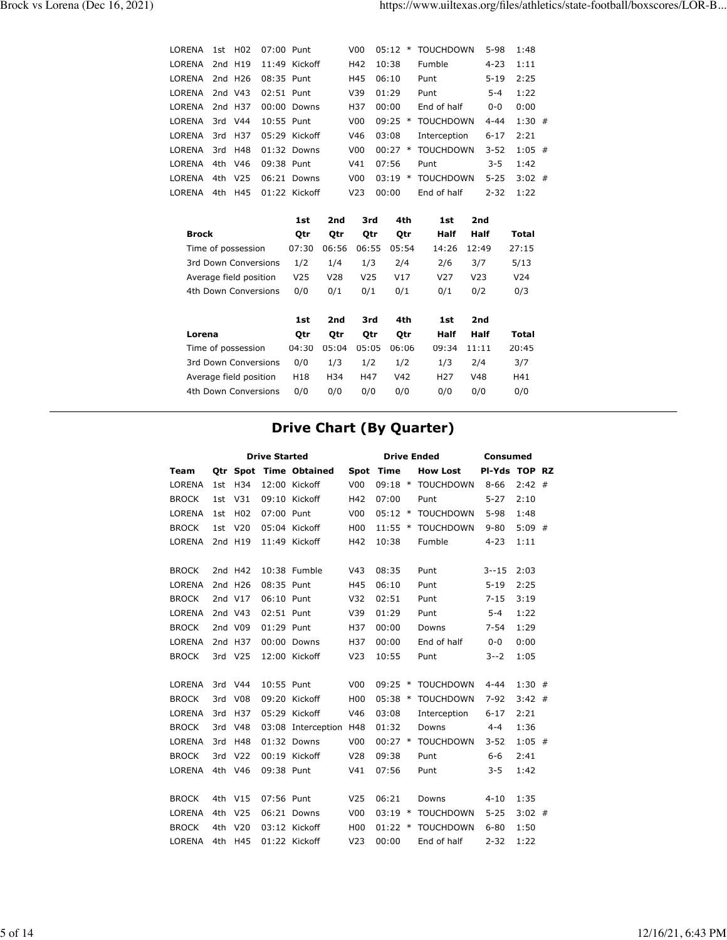| LORENA        | 1st                    | H <sub>0</sub> 2    | 07:00 Punt           |                 |                 | V <sub>00</sub> | 05:12     | $\ast$     | <b>TOUCHDOWN</b> |                 | $5 - 98$ | 1:48            |   |
|---------------|------------------------|---------------------|----------------------|-----------------|-----------------|-----------------|-----------|------------|------------------|-----------------|----------|-----------------|---|
| <b>LORENA</b> |                        | 2nd H19             |                      | 11:49 Kickoff   |                 | H42             | 10:38     |            | Fumble           |                 | $4 - 23$ | 1:11            |   |
| LORENA        |                        | 2nd H <sub>26</sub> | 08:35 Punt           |                 |                 | H45             | 06:10     |            | Punt             |                 | $5 - 19$ | 2:25            |   |
| <b>LORENA</b> |                        | 2nd V43             | 02:51 Punt           |                 |                 | V39             | 01:29     |            | Punt             |                 | $5 - 4$  | 1:22            |   |
| <b>LORENA</b> |                        | 2nd H37             |                      | 00:00 Downs     |                 | H37             | 00:00     |            | End of half      |                 | $0 - 0$  | 0:00            |   |
| <b>LORENA</b> |                        | 3rd V44             | 10:55 Punt           |                 |                 | V <sub>00</sub> | $09:25$ * |            | <b>TOUCHDOWN</b> |                 | $4 - 44$ | $1:30$ #        |   |
| <b>LORENA</b> | 3rd                    | H37                 |                      | 05:29 Kickoff   |                 | V46             | 03:08     |            | Interception     |                 | $6 - 17$ | 2:21            |   |
| LORENA        | 3rd                    | H48                 |                      | $01:32$ Downs   |                 | V <sub>00</sub> | 00:27     | $\ast$     | <b>TOUCHDOWN</b> |                 | $3 - 52$ | 1:05            | # |
| <b>LORENA</b> |                        | 4th V46             | 09:38 Punt           |                 |                 | V <sub>41</sub> | 07:56     |            | Punt             |                 | $3 - 5$  | 1:42            |   |
| <b>LORENA</b> | 4th                    | V <sub>25</sub>     |                      | 06:21 Downs     |                 | V <sub>00</sub> | 03:19     | $\ast$     | <b>TOUCHDOWN</b> |                 | $5 - 25$ | $3:02$ #        |   |
| LORENA        | 4th                    | H45                 |                      | 01:22 Kickoff   |                 | V <sub>23</sub> | 00:00     |            | End of half      |                 | $2 - 32$ | 1:22            |   |
|               |                        |                     |                      |                 |                 |                 |           |            |                  |                 |          |                 |   |
|               |                        |                     |                      | 1st             | 2nd             | 3rd             |           | 4th        | 1st              | 2nd             |          |                 |   |
|               | <b>Brock</b>           |                     |                      | Qtr             | Qtr             | Qtr             |           | <b>Otr</b> | <b>Half</b>      | Half            |          | <b>Total</b>    |   |
|               | Time of possession     |                     |                      | 07:30           | 06:56           | 06:55           |           | 05:54      | 14:26            | 12:49           |          | 27:15           |   |
|               |                        |                     | 3rd Down Conversions | 1/2             | 1/4             | 1/3             |           | 2/4        | 2/6              | 3/7             |          | 5/13            |   |
|               | Average field position |                     |                      | V <sub>25</sub> | V <sub>28</sub> | V <sub>25</sub> |           | V17        | V <sub>27</sub>  | V <sub>23</sub> |          | V <sub>24</sub> |   |
|               |                        |                     | 4th Down Conversions | 0/0             | 0/1             | 0/1             |           | 0/1        | 0/1              | 0/2             |          | 0/3             |   |
|               |                        |                     |                      |                 |                 |                 |           |            |                  |                 |          |                 |   |

|                        | 1st   | 2nd   | 3rd   | 4th   | 1st             | 2nd   |       |
|------------------------|-------|-------|-------|-------|-----------------|-------|-------|
| Lorena                 | Otr   | Otr   | 0tr   | Otr   | Half            | Half  | Total |
| Time of possession     | 04:30 | 05:04 | 05:05 | 06:06 | 09:34           | 11:11 | 20:45 |
| 3rd Down Conversions   | 0/0   | 1/3   | 1/2   | 1/2   | 1/3             | 2/4   | 3/7   |
| Average field position | H18   | H34   | H47   | V42   | H <sub>27</sub> | V48   | H41   |
| 4th Down Conversions   | 0/0   | 0/0   | 0/0   | 0/0   | 0/0             | 0/0   | 0/0   |

# **Drive Chart (By Quarter)**

|               |     |                 | <b>Drive Started</b> |                        |                 |           |        | <b>Drive Ended</b> | <b>Consumed</b> |          |  |  |
|---------------|-----|-----------------|----------------------|------------------------|-----------------|-----------|--------|--------------------|-----------------|----------|--|--|
| Team          |     |                 |                      | Otr Spot Time Obtained |                 | Spot Time |        | <b>How Lost</b>    | PI-Yds TOP RZ   |          |  |  |
| <b>LORENA</b> | 1st | H34             |                      | 12:00 Kickoff          | V <sub>00</sub> |           |        | 09:18 * TOUCHDOWN  | $8 - 66$        | $2:42$ # |  |  |
| <b>BROCK</b>  | 1st | V31             |                      | 09:10 Kickoff          | H42             | 07:00     |        | Punt               | $5 - 27$        | 2:10     |  |  |
| <b>LORENA</b> | 1st | H <sub>02</sub> | 07:00 Punt           |                        | V <sub>00</sub> | $05:12$ * |        | <b>TOUCHDOWN</b>   | $5 - 98$        | 1:48     |  |  |
| <b>BROCK</b>  | 1st | V <sub>20</sub> |                      | 05:04 Kickoff          | H <sub>00</sub> | $11:55$ * |        | TOUCHDOWN          | $9 - 80$        | $5:09$ # |  |  |
| <b>LORENA</b> |     | 2nd H19         |                      | 11:49 Kickoff          | H42             | 10:38     |        | Fumble             | $4 - 23$        | 1:11     |  |  |
|               |     |                 |                      |                        |                 |           |        |                    |                 |          |  |  |
| <b>BROCK</b>  |     | 2nd H42         |                      | 10:38 Fumble           | V <sub>43</sub> | 08:35     |        | Punt               | $3 - 15$        | 2:03     |  |  |
| LORENA        |     | 2nd H26         | 08:35 Punt           |                        | H45             | 06:10     |        | Punt               | $5 - 19$        | 2:25     |  |  |
| <b>BROCK</b>  |     | 2nd V17         | 06:10 Punt           |                        | V <sub>32</sub> | 02:51     |        | Punt               | $7 - 15$        | 3:19     |  |  |
| <b>LORENA</b> |     | 2nd V43         | 02:51 Punt           |                        | V39             | 01:29     |        | Punt               | $5 - 4$         | 1:22     |  |  |
| <b>BROCK</b>  |     | 2nd V09         | 01:29 Punt           |                        | H37             | 00:00     |        | Downs              | $7 - 54$        | 1:29     |  |  |
| <b>LORENA</b> |     | 2nd H37         |                      | 00:00 Downs            | H37             | 00:00     |        | End of half        | $0 - 0$         | 0:00     |  |  |
| <b>BROCK</b>  |     | 3rd V25         |                      | 12:00 Kickoff          | V <sub>23</sub> | 10:55     |        | Punt               | $3 - -2$        | 1:05     |  |  |
|               |     |                 |                      |                        |                 |           |        |                    |                 |          |  |  |
| <b>LORENA</b> |     | 3rd V44         | 10:55 Punt           |                        | V <sub>00</sub> | 09:25     | $\ast$ | <b>TOUCHDOWN</b>   | $4 - 44$        | $1:30$ # |  |  |
| <b>BROCK</b>  | 3rd | V <sub>08</sub> |                      | 09:20 Kickoff          | H <sub>00</sub> |           |        | 05:38 * TOUCHDOWN  | $7 - 92$        | $3:42$ # |  |  |
| <b>LORENA</b> | 3rd | H37             |                      | 05:29 Kickoff          | V46             | 03:08     |        | Interception       | $6 - 17$        | 2:21     |  |  |
| <b>BROCK</b>  | 3rd | V48             |                      | 03:08 Interception H48 |                 | 01:32     |        | Downs              | $4 - 4$         | 1:36     |  |  |
| <b>LORENA</b> | 3rd | H48             |                      | 01:32 Downs            | V <sub>00</sub> |           |        | 00:27 * TOUCHDOWN  | $3 - 52$        | $1:05$ # |  |  |
| <b>BROCK</b>  | 3rd | V <sub>22</sub> |                      | 00:19 Kickoff          | V <sub>28</sub> | 09:38     |        | Punt               | $6 - 6$         | 2:41     |  |  |
| <b>LORENA</b> | 4th | V46             | 09:38 Punt           |                        | V <sub>41</sub> | 07:56     |        | Punt               | $3 - 5$         | 1:42     |  |  |
|               |     |                 |                      |                        |                 |           |        |                    |                 |          |  |  |
| <b>BROCK</b>  |     | 4th V15         | 07:56 Punt           |                        | V <sub>25</sub> | 06:21     |        | Downs              | $4 - 10$        | 1:35     |  |  |
| <b>LORENA</b> | 4th | V <sub>25</sub> |                      | 06:21 Downs            | V <sub>0</sub>  | $03:19$ * |        | <b>TOUCHDOWN</b>   | $5 - 25$        | $3:02$ # |  |  |
| <b>BROCK</b>  | 4th | V <sub>20</sub> |                      | 03:12 Kickoff          | H <sub>00</sub> |           |        | 01:22 * TOUCHDOWN  | $6 - 80$        | 1:50     |  |  |
| <b>LORENA</b> | 4th | H45             |                      | 01:22 Kickoff          | V <sub>23</sub> | 00:00     |        | End of half        | $2 - 32$        | 1:22     |  |  |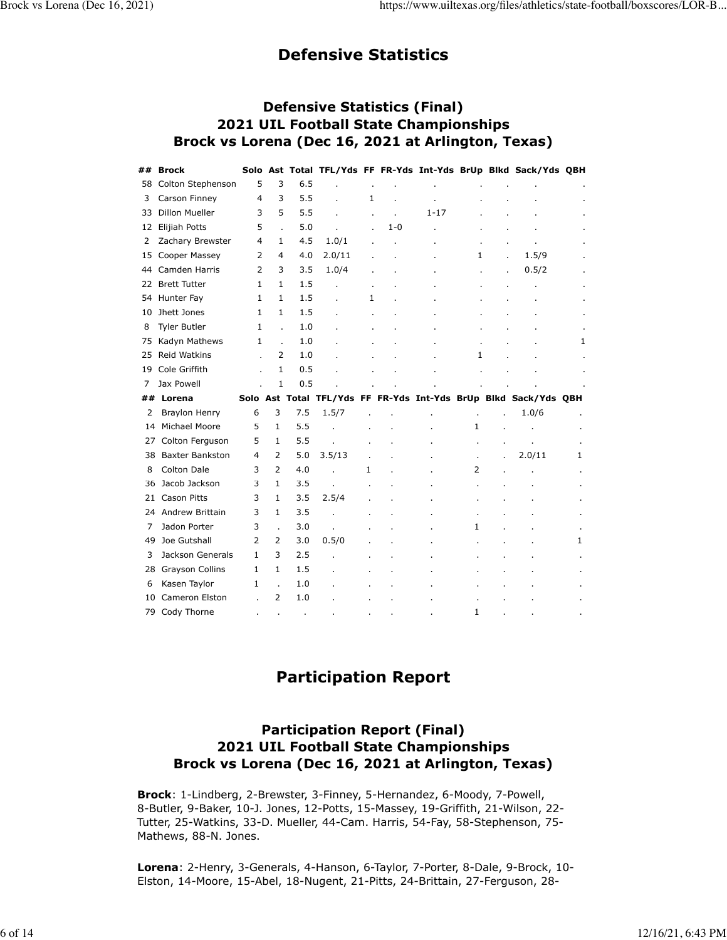# **Defensive Statistics**

### **Defensive Statistics (Final) 2021 UIL Football State Championships Brock vs Lorena (Dec 16, 2021 at Arlington, Texas)**

| ## | <b>Brock</b>           |                |                |     |                |    |         |          |                |    | Solo Ast Total TFL/Yds FF FR-Yds Int-Yds BrUp Blkd Sack/Yds QBH |   |
|----|------------------------|----------------|----------------|-----|----------------|----|---------|----------|----------------|----|-----------------------------------------------------------------|---|
| 58 | Colton Stephenson      | 5              | 3              | 6.5 |                |    |         |          |                |    |                                                                 |   |
| 3  | Carson Finney          | 4              | 3              | 5.5 |                | 1  |         |          |                |    |                                                                 |   |
| 33 | <b>Dillon Mueller</b>  | 3              | 5              | 5.5 |                | ×, | ÷.      | $1 - 17$ |                |    |                                                                 |   |
| 12 | Elijiah Potts          | 5              |                | 5.0 |                |    | $1 - 0$ |          |                |    |                                                                 |   |
| 2  | Zachary Brewster       | 4              | 1              | 4.5 | 1.0/1          |    |         |          |                |    |                                                                 |   |
| 15 | Cooper Massey          | 2              | 4              | 4.0 | 2.0/11         |    |         |          | 1              |    | 1.5/9                                                           |   |
| 44 | Camden Harris          | $\overline{2}$ | 3              | 3.5 | 1.0/4          |    |         |          |                | í. | 0.5/2                                                           |   |
| 22 | <b>Brett Tutter</b>    | 1              | $\mathbf{1}$   | 1.5 |                |    |         |          |                |    |                                                                 |   |
| 54 | Hunter Fay             | 1              | $\mathbf{1}$   | 1.5 |                | 1  |         |          |                |    |                                                                 |   |
| 10 | Jhett Jones            | 1              | 1              | 1.5 |                |    |         |          |                |    |                                                                 |   |
| 8  | <b>Tyler Butler</b>    | 1              | J.             | 1.0 |                |    |         |          |                |    |                                                                 |   |
| 75 | Kadyn Mathews          | 1              | $\overline{a}$ | 1.0 |                |    |         |          |                |    |                                                                 | 1 |
| 25 | Reid Watkins           |                | 2              | 1.0 |                |    |         |          | 1              |    |                                                                 |   |
| 19 | Cole Griffith          |                | 1              | 0.5 |                |    |         |          |                |    |                                                                 |   |
| 7  | Jax Powell             |                | $\mathbf{1}$   | 0.5 |                |    |         |          |                |    |                                                                 |   |
|    |                        |                |                |     |                |    |         |          |                |    |                                                                 |   |
| ## | Lorena                 |                |                |     |                |    |         |          |                |    | Solo Ast Total TFL/Yds FF FR-Yds Int-Yds BrUp Blkd Sack/Yds QBH |   |
| 2  | <b>Braylon Henry</b>   | 6              | 3              | 7.5 | 1.5/7          |    |         |          |                |    | 1.0/6                                                           |   |
| 14 | Michael Moore          | 5              | 1              | 5.5 |                |    |         |          | 1              |    |                                                                 |   |
| 27 | Colton Ferguson        | 5              | $\mathbf{1}$   | 5.5 | l.             |    |         |          | ä,             |    |                                                                 |   |
| 38 | <b>Baxter Bankston</b> | 4              | 2              | 5.0 | 3.5/13         |    |         |          | ä,             |    | 2.0/11                                                          | 1 |
| 8  | <b>Colton Dale</b>     | 3              | 2              | 4.0 |                | 1  |         |          | $\overline{2}$ |    |                                                                 |   |
| 36 | Jacob Jackson          | 3              | $\mathbf{1}$   | 3.5 | J.             |    |         |          |                |    |                                                                 |   |
| 21 | Cason Pitts            | 3              | 1              | 3.5 | 2.5/4          |    |         |          |                |    |                                                                 |   |
|    | 24 Andrew Brittain     | 3              | $\mathbf{1}$   | 3.5 |                |    |         |          |                |    |                                                                 |   |
| 7  | Jadon Porter           | 3              | $\overline{a}$ | 3.0 | $\overline{a}$ |    |         |          | 1              |    |                                                                 |   |
| 49 | Joe Gutshall           | 2              | 2              | 3.0 | 0.5/0          |    |         |          |                |    |                                                                 | 1 |
| 3  | Jackson Generals       | $\mathbf{1}$   | 3              | 2.5 |                |    |         |          |                |    |                                                                 |   |
| 28 | <b>Grayson Collins</b> | $\mathbf{1}$   | $\mathbf{1}$   | 1.5 |                |    |         |          |                |    |                                                                 |   |
| 6  | Kasen Taylor           | 1              |                | 1.0 |                |    |         |          |                |    |                                                                 |   |
| 10 | Cameron Elston         |                | $\overline{2}$ | 1.0 |                |    |         |          |                |    |                                                                 |   |

# **Participation Report**

# **Participation Report (Final) 2021 UIL Football State Championships Brock vs Lorena (Dec 16, 2021 at Arlington, Texas)**

**Brock**: 1-Lindberg, 2-Brewster, 3-Finney, 5-Hernandez, 6-Moody, 7-Powell, 8-Butler, 9-Baker, 10-J. Jones, 12-Potts, 15-Massey, 19-Griffith, 21-Wilson, 22- Tutter, 25-Watkins, 33-D. Mueller, 44-Cam. Harris, 54-Fay, 58-Stephenson, 75- Mathews, 88-N. Jones.

**Lorena**: 2-Henry, 3-Generals, 4-Hanson, 6-Taylor, 7-Porter, 8-Dale, 9-Brock, 10- Elston, 14-Moore, 15-Abel, 18-Nugent, 21-Pitts, 24-Brittain, 27-Ferguson, 28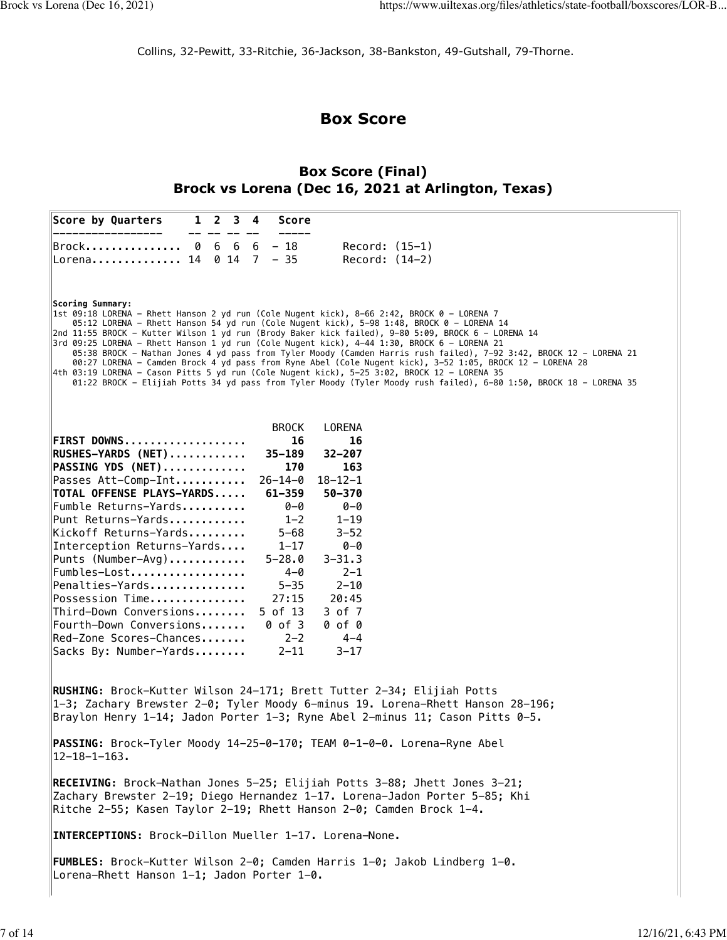Collins, 32-Pewitt, 33-Ritchie, 36-Jackson, 38-Bankston, 49-Gutshall, 79-Thorne.

# **Box Score**

# **Box Score (Final) Brock vs Lorena (Dec 16, 2021 at Arlington, Texas)**

| Score by Quarters<br>$\mathbf{1}$<br>$2 \t3 \t4$<br>Score                                                                                                                                                                                                                                                                                                                                                                                                                                                                                                                                                                                                                                                                                                                                                                                                                      |
|--------------------------------------------------------------------------------------------------------------------------------------------------------------------------------------------------------------------------------------------------------------------------------------------------------------------------------------------------------------------------------------------------------------------------------------------------------------------------------------------------------------------------------------------------------------------------------------------------------------------------------------------------------------------------------------------------------------------------------------------------------------------------------------------------------------------------------------------------------------------------------|
| $6\quad 6\quad 6\quad -\quad 18$<br>$Record: (15-1)$<br>Brock<br>Ø<br>Lorena 14 0 14 7 - 35<br>$Record: (14-2)$                                                                                                                                                                                                                                                                                                                                                                                                                                                                                                                                                                                                                                                                                                                                                                |
| <b>Scoring Summary:</b><br> 1st 09:18 LORENA – Rhett Hanson 2 yd run (Cole Nugent kick), 8–66 2:42, BROCK 0 – LORENA 7<br>05:12 LORENA – Rhett Hanson 54 yd run (Cole Nugent kick), 5–98 1:48, BROCK 0 – LORENA 14<br>2nd 11:55 BROCK - Kutter Wilson 1 yd run (Brody Baker kick failed), 9-80 5:09, BROCK 6 - LORENA 14<br>3rd 09:25 LORENA - Rhett Hanson 1 yd run (Cole Nugent kick), 4-44 1:30, BROCK 6 - LORENA 21<br>05:38 BROCK – Nathan Jones 4 yd pass from Tyler Moody (Camden Harris rush failed), 7–92 3:42, BROCK 12 – LORENA 21<br>00:27 LORENA - Camden Brock 4 yd pass from Ryne Abel (Cole Nugent kick), 3-52 1:05, BROCK 12 - LORENA 28<br>4th 03:19 LORENA - Cason Pitts 5 yd run (Cole Nugent kick), 5-25 3:02, BROCK 12 - LORENA 35<br>01:22 BROCK - Elijiah Potts 34 yd pass from Tyler Moody (Tyler Moody rush failed), 6-80 1:50, BROCK 18 - LORENA 35 |
| <b>BROCK</b><br>LORENA<br>FIRST DOWNS<br>16<br>16<br>$35 - 189$<br>$32 - 207$<br>$RUSHES-YARDS (NET)$<br>PASSING YDS (NET)<br>170<br>163<br>Passes Att-Comp-Int<br>$26 - 14 - 0$<br>$18 - 12 - 1$<br>TOTAL OFFENSE PLAYS-YARDS<br>$61 - 359$<br>50-370<br>Fumble Returns-Yards<br>$0 - 0$<br>0-0<br>Punt Returns-Yards<br>$1 - 2$<br>$1 - 19$<br>Kickoff Returns-Yards<br>$5 - 68$<br>$3 - 52$<br>Interception Returns-Yards<br>$1 - 17$<br>0-0<br>Punts (Number-Avg)<br>$5 - 28.0$<br>$3 - 31.3$<br>$4 - 0$<br>Fumbles-Lost<br>$2 - 1$<br>Penalties-Yards<br>$5 - 35$<br>$2 - 10$<br>27:15<br>Possession Time<br>20:45<br>Third-Down Conversions<br>5 of 13<br>3 of 7<br>Fourth-Down Conversions<br>0 of 3<br>0 of 0<br>Red-Zone Scores-Chances<br>$2 - 2$<br>$4 - 4$<br>Sacks By: Number-Yards<br>$2 - 11$<br>$3 - 17$                                                       |
| RUSHING: Brock-Kutter Wilson 24-171; Brett Tutter 2-34; Elijiah Potts<br>$ 1-3;$ Zachary Brewster 2-0; Tyler Moody 6-minus 19. Lorena-Rhett Hanson 28-196;<br>Braylon Henry 1-14; Jadon Porter 1-3; Ryne Abel 2-minus 11; Cason Pitts 0-5.                                                                                                                                                                                                                                                                                                                                                                                                                                                                                                                                                                                                                                     |
| PASSING: Brock-Tyler Moody 14-25-0-170; TEAM 0-1-0-0. Lorena-Ryne Abel<br>$12 - 18 - 1 - 163.$                                                                                                                                                                                                                                                                                                                                                                                                                                                                                                                                                                                                                                                                                                                                                                                 |
| <b>RECEIVING:</b> Brock-Nathan Jones 5-25; Elijiah Potts 3-88; Jhett Jones 3-21;<br>Zachary Brewster 2-19; Diego Hernandez 1-17. Lorena-Jadon Porter 5-85; Khi<br>Ritche 2-55; Kasen Taylor 2-19; Rhett Hanson 2-0; Camden Brock 1-4.                                                                                                                                                                                                                                                                                                                                                                                                                                                                                                                                                                                                                                          |
| INTERCEPTIONS: Brock-Dillon Mueller 1-17. Lorena-None.                                                                                                                                                                                                                                                                                                                                                                                                                                                                                                                                                                                                                                                                                                                                                                                                                         |
| FUMBLES: Brock-Kutter Wilson 2-0; Camden Harris 1-0; Jakob Lindberg 1-0.<br>Lorena-Rhett Hanson 1-1; Jadon Porter 1-0.                                                                                                                                                                                                                                                                                                                                                                                                                                                                                                                                                                                                                                                                                                                                                         |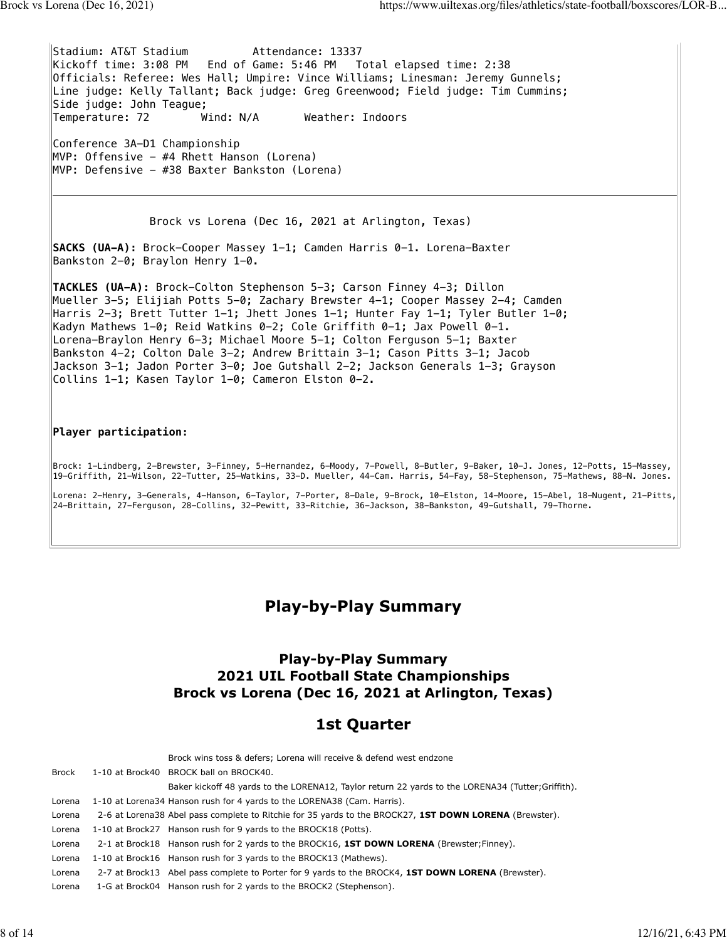Stadium: AT&T Stadium Mattendance: 13337 Kickoff time: 3:08 PM End of Game: 5:46 PM Total elapsed time: 2:38 Officials: Referee: Wes Hall; Umpire: Vince Williams; Linesman: Jeremy Gunnels; Line judge: Kelly Tallant; Back judge: Greg Greenwood; Field judge: Tim Cummins; Side judge: John Teague; Temperature: 72 Wind: N/A Weather: Indoors Conference 3A-D1 Championship

MVP: Offensive - #4 Rhett Hanson (Lorena) MVP: Defensive - #38 Baxter Bankston (Lorena)

Brock vs Lorena (Dec 16, 2021 at Arlington, Texas)

**SACKS (UA-A):** Brock-Cooper Massey 1-1; Camden Harris 0-1. Lorena-Baxter Bankston 2-0; Braylon Henry 1-0.

**TACKLES (UA-A):** Brock-Colton Stephenson 5-3; Carson Finney 4-3; Dillon Mueller 3-5; Elijiah Potts 5-0; Zachary Brewster 4-1; Cooper Massey 2-4; Camden Harris 2-3; Brett Tutter 1-1; Jhett Jones 1-1; Hunter Fay 1-1; Tyler Butler 1-0; Kadyn Mathews 1-0; Reid Watkins 0-2; Cole Griffith 0-1; Jax Powell 0-1. Lorena-Braylon Henry 6-3; Michael Moore 5-1; Colton Ferguson 5-1; Baxter Bankston 4-2; Colton Dale 3-2; Andrew Brittain 3-1; Cason Pitts 3-1; Jacob Jackson 3-1; Jadon Porter 3-0; Joe Gutshall 2-2; Jackson Generals 1-3; Grayson Collins 1-1; Kasen Taylor 1-0; Cameron Elston 0-2.

### **Player participation:**

Brock: 1-Lindberg, 2-Brewster, 3-Finney, 5-Hernandez, 6-Moody, 7-Powell, 8-Butler, 9-Baker, 10-J. Jones, 12-Potts, 15-Massey, 19-Griffith, 21-Wilson, 22-Tutter, 25-Watkins, 33-D. Mueller, 44-Cam. Harris, 54-Fay, 58-Stephenson, 75-Mathews, 88-N. Jones.

Lorena: 2-Henry, 3-Generals, 4-Hanson, 6-Taylor, 7-Porter, 8-Dale, 9-Brock, 10-Elston, 14-Moore, 15-Abel, 18-Nugent, 21-Pitts, 24-Brittain, 27-Ferguson, 28-Collins, 32-Pewitt, 33-Ritchie, 36-Jackson, 38-Bankston, 49-Gutshall, 79-Thorne.

# **Play-by-Play Summary**

### **Play-by-Play Summary 2021 UIL Football State Championships Brock vs Lorena (Dec 16, 2021 at Arlington, Texas)**

# **1st Quarter**

|        | Brock wins toss & defers; Lorena will receive & defend west endzone                                       |
|--------|-----------------------------------------------------------------------------------------------------------|
| Brock  | 1-10 at Brock40 BROCK ball on BROCK40.                                                                    |
|        | Baker kickoff 48 yards to the LORENA12, Taylor return 22 yards to the LORENA34 (Tutter; Griffith).        |
| Lorena | 1-10 at Lorena34 Hanson rush for 4 yards to the LORENA38 (Cam. Harris).                                   |
| Lorena | 2-6 at Lorena38 Abel pass complete to Ritchie for 35 yards to the BROCK27, 1ST DOWN LORENA (Brewster).    |
| Lorena | 1-10 at Brock27 Hanson rush for 9 yards to the BROCK18 (Potts).                                           |
| Lorena | 2-1 at Brock18 Hanson rush for 2 yards to the BROCK16, 1ST DOWN LORENA (Brewster; Finney).                |
| Lorena | 1-10 at Brock16 Hanson rush for 3 yards to the BROCK13 (Mathews).                                         |
| Lorena | 2-7 at Brock13 Abel pass complete to Porter for 9 yards to the BROCK4, <b>1ST DOWN LORENA</b> (Brewster). |
| Lorena | 1-G at Brock04 Hanson rush for 2 yards to the BROCK2 (Stephenson).                                        |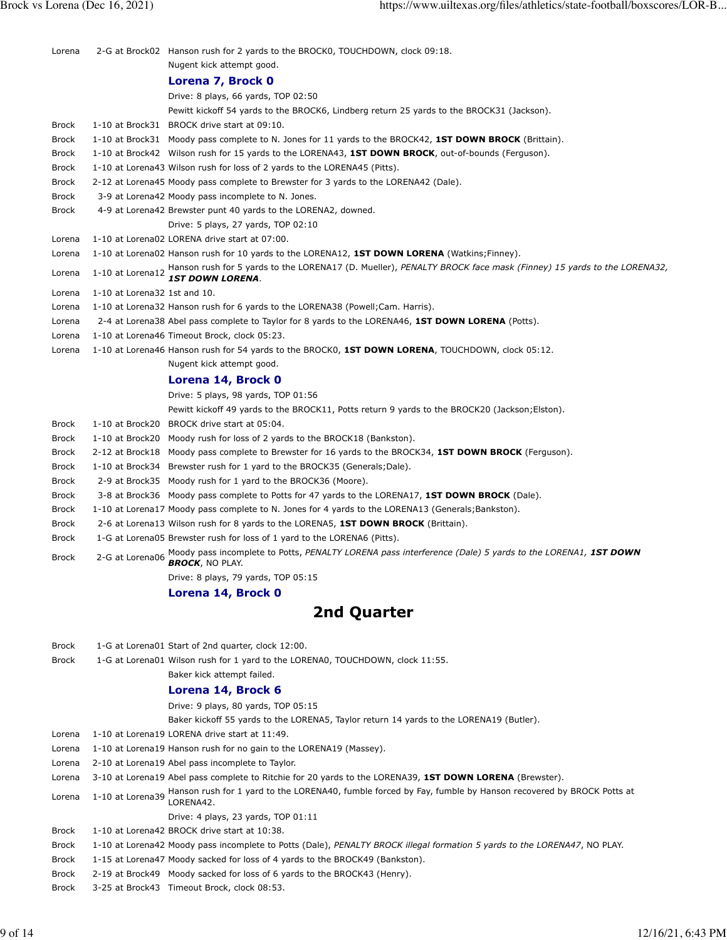| Lorena       |                              | 2-G at Brock02 Hanson rush for 2 yards to the BROCK0, TOUCHDOWN, clock 09:18.                                                      |
|--------------|------------------------------|------------------------------------------------------------------------------------------------------------------------------------|
|              |                              | Nugent kick attempt good.                                                                                                          |
|              |                              | Lorena 7, Brock 0                                                                                                                  |
|              |                              | Drive: 8 plays, 66 yards, TOP 02:50                                                                                                |
|              |                              | Pewitt kickoff 54 yards to the BROCK6, Lindberg return 25 yards to the BROCK31 (Jackson).                                          |
| <b>Brock</b> |                              | 1-10 at Brock31 BROCK drive start at 09:10.                                                                                        |
| <b>Brock</b> |                              | 1-10 at Brock31 Moody pass complete to N. Jones for 11 yards to the BROCK42, 1ST DOWN BROCK (Brittain).                            |
| <b>Brock</b> |                              | 1-10 at Brock42 Wilson rush for 15 yards to the LORENA43, 1ST DOWN BROCK, out-of-bounds (Ferguson).                                |
| <b>Brock</b> |                              | 1-10 at Lorena43 Wilson rush for loss of 2 yards to the LORENA45 (Pitts).                                                          |
| <b>Brock</b> |                              | 2-12 at Lorena45 Moody pass complete to Brewster for 3 yards to the LORENA42 (Dale).                                               |
| <b>Brock</b> |                              | 3-9 at Lorena42 Moody pass incomplete to N. Jones.                                                                                 |
| <b>Brock</b> |                              | 4-9 at Lorena42 Brewster punt 40 yards to the LORENA2, downed.                                                                     |
|              |                              | Drive: 5 plays, 27 yards, TOP 02:10                                                                                                |
| Lorena       |                              | 1-10 at Lorena02 LORENA drive start at 07:00.                                                                                      |
| Lorena       |                              | 1-10 at Lorena02 Hanson rush for 10 yards to the LORENA12, 1ST DOWN LORENA (Watkins; Finney).                                      |
| Lorena       |                              | 1-10 at Lorena12 Hanson rush for 5 yards to the LORENA17 (D. Mueller), PENALTY BROCK face mask (Finney) 15 yards to the LORENA32,  |
| Lorena       | 1-10 at Lorena32 1st and 10. |                                                                                                                                    |
| Lorena       |                              | 1-10 at Lorena32 Hanson rush for 6 yards to the LORENA38 (Powell; Cam. Harris).                                                    |
| Lorena       |                              | 2-4 at Lorena38 Abel pass complete to Taylor for 8 yards to the LORENA46, 1ST DOWN LORENA (Potts).                                 |
| Lorena       |                              | 1-10 at Lorena46 Timeout Brock, clock 05:23.                                                                                       |
| Lorena       |                              | 1-10 at Lorena46 Hanson rush for 54 yards to the BROCK0, 1ST DOWN LORENA, TOUCHDOWN, clock 05:12.                                  |
|              |                              | Nugent kick attempt good.                                                                                                          |
|              |                              | Lorena 14, Brock 0                                                                                                                 |
|              |                              | Drive: 5 plays, 98 yards, TOP 01:56                                                                                                |
|              |                              | Pewitt kickoff 49 yards to the BROCK11, Potts return 9 yards to the BROCK20 (Jackson; Elston).                                     |
| <b>Brock</b> |                              | 1-10 at Brock20 BROCK drive start at 05:04.                                                                                        |
| <b>Brock</b> |                              | 1-10 at Brock20 Moody rush for loss of 2 yards to the BROCK18 (Bankston).                                                          |
| <b>Brock</b> |                              | 2-12 at Brock18 Moody pass complete to Brewster for 16 yards to the BROCK34, 1ST DOWN BROCK (Ferguson).                            |
| <b>Brock</b> |                              | 1-10 at Brock34 Brewster rush for 1 yard to the BROCK35 (Generals; Dale).                                                          |
| <b>Brock</b> |                              | 2-9 at Brock35 Moody rush for 1 yard to the BROCK36 (Moore).                                                                       |
| <b>Brock</b> |                              | 3-8 at Brock36 Moody pass complete to Potts for 47 yards to the LORENA17, 1ST DOWN BROCK (Dale).                                   |
| <b>Brock</b> |                              | 1-10 at Lorena17 Moody pass complete to N. Jones for 4 yards to the LORENA13 (Generals; Bankston).                                 |
| <b>Brock</b> |                              | 2-6 at Lorena13 Wilson rush for 8 yards to the LORENA5, 1ST DOWN BROCK (Brittain).                                                 |
| <b>Brock</b> |                              | 1-G at Lorena05 Brewster rush for loss of 1 yard to the LORENA6 (Pitts).                                                           |
| <b>Brock</b> | 2-G at Lorena06              | Moody pass incomplete to Potts, PENALTY LORENA pass interference (Dale) 5 yards to the LORENA1, 1ST DOWN<br><b>BROCK, NO PLAY.</b> |
|              |                              | Drive: 8 plays, 79 yards, TOP 05:15                                                                                                |
|              |                              | Lorena 14, Brock 0                                                                                                                 |
|              |                              | <b>2nd Quarter</b>                                                                                                                 |
|              |                              |                                                                                                                                    |
|              |                              |                                                                                                                                    |

- Brock 1-G at Lorena01 Start of 2nd quarter, clock 12:00.
- Brock 1-G at Lorena01 Wilson rush for 1 yard to the LORENA0, TOUCHDOWN, clock 11:55.
	- Baker kick attempt failed.

### **Lorena 14, Brock 6**

### Drive: 9 plays, 80 yards, TOP 05:15

Baker kickoff 55 yards to the LORENA5, Taylor return 14 yards to the LORENA19 (Butler).

- Lorena 1-10 at Lorena19 LORENA drive start at 11:49.
- Lorena 1-10 at Lorena19 Hanson rush for no gain to the LORENA19 (Massey).
- Lorena 2-10 at Lorena19 Abel pass incomplete to Taylor.
- Lorena 3-10 at Lorena19 Abel pass complete to Ritchie for 20 yards to the LORENA39, **1ST DOWN LORENA** (Brewster).
- Lorena 1-10 at Lorena39 Hanson rush for 1 yard to the LORENA40, fumble forced by Fay, fumble by Hanson recovered by BROCK Potts at<br>Lorena 1-10 at Lorena39 LORENA42.

#### Drive: 4 plays, 23 yards, TOP 01:11

- Brock 1-10 at Lorena42 BROCK drive start at 10:38.
- Brock 1-10 at Lorena42 Moody pass incomplete to Potts (Dale), *PENALTY BROCK illegal formation 5 yards to the LORENA47*, NO PLAY.
- Brock 1-15 at Lorena47 Moody sacked for loss of 4 yards to the BROCK49 (Bankston).
- Brock 2-19 at Brock49 Moody sacked for loss of 6 yards to the BROCK43 (Henry).
- Brock 3-25 at Brock43 Timeout Brock, clock 08:53.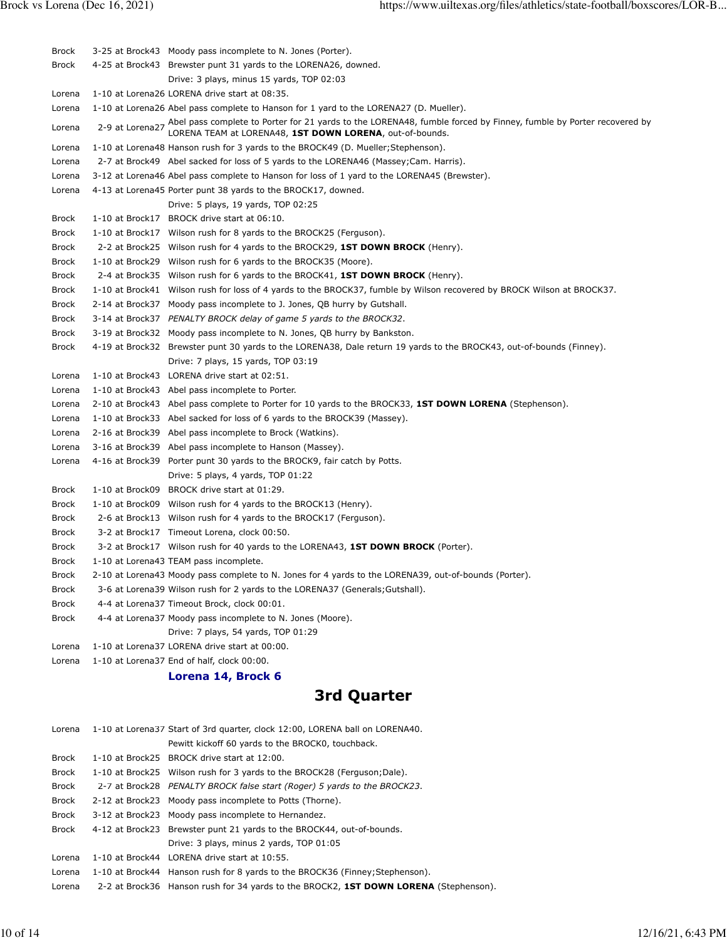| <b>Brock</b> | 3-25 at Brock43 Moody pass incomplete to N. Jones (Porter).                                                                                                                                   |
|--------------|-----------------------------------------------------------------------------------------------------------------------------------------------------------------------------------------------|
| <b>Brock</b> | 4-25 at Brock43 Brewster punt 31 yards to the LORENA26, downed.                                                                                                                               |
|              | Drive: 3 plays, minus 15 yards, TOP 02:03                                                                                                                                                     |
| Lorena       | 1-10 at Lorena26 LORENA drive start at 08:35.                                                                                                                                                 |
| Lorena       | 1-10 at Lorena26 Abel pass complete to Hanson for 1 yard to the LORENA27 (D. Mueller).                                                                                                        |
| Lorena       | 2-9 at Lorena27 Abel pass complete to Porter for 21 yards to the LORENA48, fumble forced by Finney, fumble by Porter recovered by<br>LORENA TEAM at LORENA48, 1ST DOWN LORENA, out-of-bounds. |
| Lorena       | 1-10 at Lorena48 Hanson rush for 3 yards to the BROCK49 (D. Mueller; Stephenson).                                                                                                             |
| Lorena       | 2-7 at Brock49 Abel sacked for loss of 5 yards to the LORENA46 (Massey; Cam. Harris).                                                                                                         |
| Lorena       | 3-12 at Lorena46 Abel pass complete to Hanson for loss of 1 yard to the LORENA45 (Brewster).                                                                                                  |
| Lorena       | 4-13 at Lorena45 Porter punt 38 yards to the BROCK17, downed.                                                                                                                                 |
|              | Drive: 5 plays, 19 yards, TOP 02:25                                                                                                                                                           |
| <b>Brock</b> | 1-10 at Brock17 BROCK drive start at 06:10.                                                                                                                                                   |
| <b>Brock</b> | 1-10 at Brock17 Wilson rush for 8 yards to the BROCK25 (Ferguson).                                                                                                                            |
| <b>Brock</b> | 2-2 at Brock25 Wilson rush for 4 yards to the BROCK29, 1ST DOWN BROCK (Henry).                                                                                                                |
| <b>Brock</b> | 1-10 at Brock29 Wilson rush for 6 yards to the BROCK35 (Moore).                                                                                                                               |
| <b>Brock</b> | 2-4 at Brock35 Wilson rush for 6 yards to the BROCK41, <b>1ST DOWN BROCK</b> (Henry).                                                                                                         |
| <b>Brock</b> | 1-10 at Brock41 Wilson rush for loss of 4 yards to the BROCK37, fumble by Wilson recovered by BROCK Wilson at BROCK37.                                                                        |
| <b>Brock</b> | 2-14 at Brock37 Moody pass incomplete to J. Jones, QB hurry by Gutshall.                                                                                                                      |
| <b>Brock</b> | 3-14 at Brock37 PENALTY BROCK delay of game 5 yards to the BROCK32.                                                                                                                           |
| <b>Brock</b> | 3-19 at Brock32 Moody pass incomplete to N. Jones, QB hurry by Bankston.                                                                                                                      |
| <b>Brock</b> | 4-19 at Brock32 Brewster punt 30 yards to the LORENA38, Dale return 19 yards to the BROCK43, out-of-bounds (Finney).                                                                          |
|              | Drive: 7 plays, 15 yards, TOP 03:19                                                                                                                                                           |
| Lorena       | 1-10 at Brock43 LORENA drive start at 02:51.                                                                                                                                                  |
| Lorena       | 1-10 at Brock43 Abel pass incomplete to Porter.                                                                                                                                               |
| Lorena       | 2-10 at Brock43 Abel pass complete to Porter for 10 yards to the BROCK33, 1ST DOWN LORENA (Stephenson).                                                                                       |
| Lorena       | 1-10 at Brock33 Abel sacked for loss of 6 yards to the BROCK39 (Massey).                                                                                                                      |
| Lorena       | 2-16 at Brock39 Abel pass incomplete to Brock (Watkins).                                                                                                                                      |
| Lorena       | 3-16 at Brock39 Abel pass incomplete to Hanson (Massey).                                                                                                                                      |
| Lorena       | 4-16 at Brock39 Porter punt 30 yards to the BROCK9, fair catch by Potts.                                                                                                                      |
|              | Drive: 5 plays, 4 yards, TOP 01:22                                                                                                                                                            |
| <b>Brock</b> | 1-10 at Brock09 BROCK drive start at 01:29.                                                                                                                                                   |
| <b>Brock</b> | 1-10 at Brock09 Wilson rush for 4 yards to the BROCK13 (Henry).                                                                                                                               |
| <b>Brock</b> | 2-6 at Brock13 Wilson rush for 4 yards to the BROCK17 (Ferguson).                                                                                                                             |
| <b>Brock</b> | 3-2 at Brock17 Timeout Lorena, clock 00:50.                                                                                                                                                   |
| <b>Brock</b> | 3-2 at Brock17 Wilson rush for 40 yards to the LORENA43, 1ST DOWN BROCK (Porter).                                                                                                             |
| <b>Brock</b> | 1-10 at Lorena43 TEAM pass incomplete.                                                                                                                                                        |
| <b>Brock</b> | 2-10 at Lorena43 Moody pass complete to N. Jones for 4 yards to the LORENA39, out-of-bounds (Porter).                                                                                         |
| Brock        | 3-6 at Lorena39 Wilson rush for 2 yards to the LORENA37 (Generals; Gutshall).                                                                                                                 |
| <b>Brock</b> | 4-4 at Lorena37 Timeout Brock, clock 00:01.                                                                                                                                                   |
| Brock        | 4-4 at Lorena37 Moody pass incomplete to N. Jones (Moore).                                                                                                                                    |
|              | Drive: 7 plays, 54 yards, TOP 01:29                                                                                                                                                           |
| Lorena       | 1-10 at Lorena37 LORENA drive start at 00:00.                                                                                                                                                 |
| Lorena       | 1-10 at Lorena37 End of half, clock 00:00.                                                                                                                                                    |
|              | Lorena 14, Brock 6                                                                                                                                                                            |
|              |                                                                                                                                                                                               |

# **3rd Quarter**

| Lorena       | 1-10 at Lorena37 Start of 3rd quarter, clock 12:00, LORENA ball on LORENA40.                |
|--------------|---------------------------------------------------------------------------------------------|
|              | Pewitt kickoff 60 yards to the BROCK0, touchback.                                           |
| Brock        | 1-10 at Brock25 BROCK drive start at 12:00.                                                 |
| Brock        | 1-10 at Brock25 Wilson rush for 3 yards to the BROCK28 (Ferguson; Dale).                    |
| Brock        | 2-7 at Brock28 PENALTY BROCK false start (Roger) 5 yards to the BROCK23.                    |
| <b>Brock</b> | 2-12 at Brock23 Moody pass incomplete to Potts (Thorne).                                    |
| Brock        | 3-12 at Brock23 Moody pass incomplete to Hernandez.                                         |
| Brock        | 4-12 at Brock23 Brewster punt 21 yards to the BROCK44, out-of-bounds.                       |
|              | Drive: 3 plays, minus 2 yards, TOP 01:05                                                    |
| Lorena       | 1-10 at Brock44 LORENA drive start at 10:55.                                                |
| Lorena       | 1-10 at Brock44 Hanson rush for 8 yards to the BROCK36 (Finney; Stephenson).                |
| Lorena       | 2-2 at Brock36 Hanson rush for 34 yards to the BROCK2, <b>1ST DOWN LORENA</b> (Stephenson). |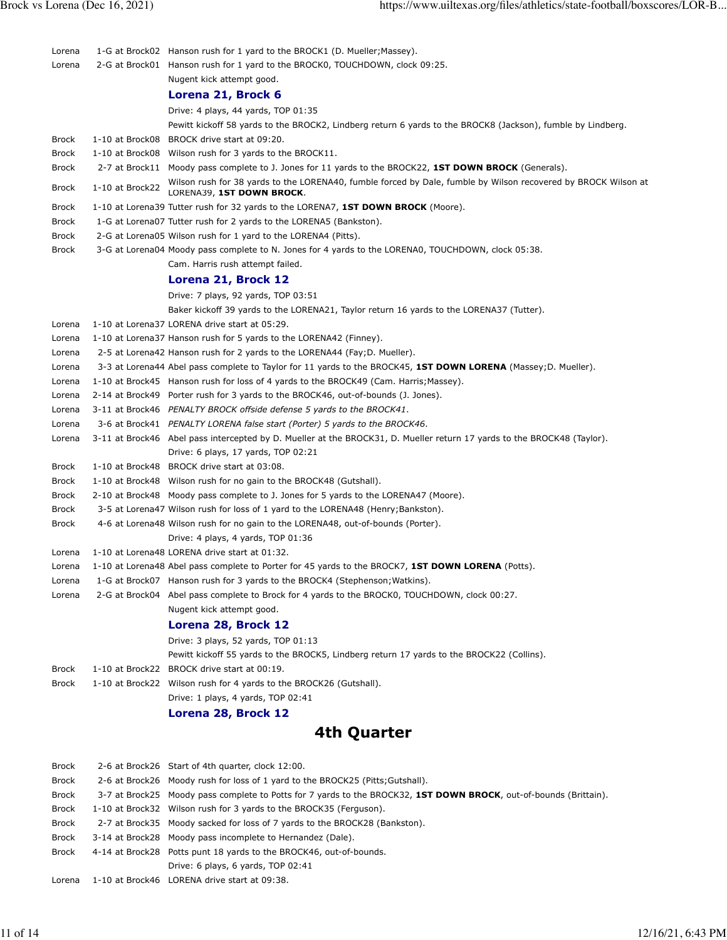| Lorena           |                 | 1-G at Brock02 Hanson rush for 1 yard to the BROCK1 (D. Mueller; Massey).                                                                                                                             |
|------------------|-----------------|-------------------------------------------------------------------------------------------------------------------------------------------------------------------------------------------------------|
| Lorena           |                 | 2-G at Brock01 Hanson rush for 1 yard to the BROCK0, TOUCHDOWN, clock 09:25.                                                                                                                          |
|                  |                 | Nugent kick attempt good.                                                                                                                                                                             |
|                  |                 | Lorena 21, Brock 6                                                                                                                                                                                    |
|                  |                 | Drive: 4 plays, 44 yards, TOP 01:35                                                                                                                                                                   |
|                  |                 | Pewitt kickoff 58 yards to the BROCK2, Lindberg return 6 yards to the BROCK8 (Jackson), fumble by Lindberg.                                                                                           |
| <b>Brock</b>     |                 | 1-10 at Brock08 BROCK drive start at 09:20.                                                                                                                                                           |
| Brock            |                 | 1-10 at Brock08 Wilson rush for 3 yards to the BROCK11.                                                                                                                                               |
| Brock            |                 | 2-7 at Brock11 Moody pass complete to J. Jones for 11 yards to the BROCK22, 1ST DOWN BROCK (Generals).                                                                                                |
| <b>Brock</b>     | 1-10 at Brock22 | Wilson rush for 38 yards to the LORENA40, fumble forced by Dale, fumble by Wilson recovered by BROCK Wilson at<br>LORENA39, 1ST DOWN BROCK.                                                           |
| Brock            |                 | 1-10 at Lorena39 Tutter rush for 32 yards to the LORENA7, <b>1ST DOWN BROCK</b> (Moore).                                                                                                              |
| Brock            |                 | 1-G at Lorena07 Tutter rush for 2 yards to the LORENA5 (Bankston).                                                                                                                                    |
| Brock            |                 | 2-G at Lorena05 Wilson rush for 1 yard to the LORENA4 (Pitts).                                                                                                                                        |
| <b>Brock</b>     |                 | 3-G at Lorena04 Moody pass complete to N. Jones for 4 yards to the LORENA0, TOUCHDOWN, clock 05:38.                                                                                                   |
|                  |                 | Cam. Harris rush attempt failed.                                                                                                                                                                      |
|                  |                 | Lorena 21, Brock 12                                                                                                                                                                                   |
|                  |                 | Drive: 7 plays, 92 yards, TOP 03:51                                                                                                                                                                   |
|                  |                 | Baker kickoff 39 yards to the LORENA21, Taylor return 16 yards to the LORENA37 (Tutter).                                                                                                              |
| Lorena           |                 | 1-10 at Lorena37 LORENA drive start at 05:29.                                                                                                                                                         |
| Lorena           |                 | 1-10 at Lorena37 Hanson rush for 5 yards to the LORENA42 (Finney).                                                                                                                                    |
| Lorena           |                 | 2-5 at Lorena42 Hanson rush for 2 yards to the LORENA44 (Fay; D. Mueller).                                                                                                                            |
| Lorena           |                 | 3-3 at Lorena44 Abel pass complete to Taylor for 11 yards to the BROCK45, 1ST DOWN LORENA (Massey; D. Mueller).                                                                                       |
| Lorena           |                 | 1-10 at Brock45 Hanson rush for loss of 4 yards to the BROCK49 (Cam. Harris; Massey).                                                                                                                 |
| Lorena           |                 | 2-14 at Brock49 Porter rush for 3 yards to the BROCK46, out-of-bounds (J. Jones).                                                                                                                     |
| Lorena           |                 | 3-11 at Brock46 PENALTY BROCK offside defense 5 yards to the BROCK41.                                                                                                                                 |
| Lorena<br>Lorena |                 | 3-6 at Brock41 PENALTY LORENA false start (Porter) 5 yards to the BROCK46.<br>3-11 at Brock46 Abel pass intercepted by D. Mueller at the BROCK31, D. Mueller return 17 yards to the BROCK48 (Taylor). |
|                  |                 | Drive: 6 plays, 17 yards, TOP 02:21                                                                                                                                                                   |
| Brock            |                 | 1-10 at Brock48 BROCK drive start at 03:08.                                                                                                                                                           |
| Brock            |                 | 1-10 at Brock48 Wilson rush for no gain to the BROCK48 (Gutshall).                                                                                                                                    |
| <b>Brock</b>     |                 | 2-10 at Brock48 Moody pass complete to J. Jones for 5 yards to the LORENA47 (Moore).                                                                                                                  |
| Brock            |                 | 3-5 at Lorena47 Wilson rush for loss of 1 yard to the LORENA48 (Henry; Bankston).                                                                                                                     |
| Brock            |                 | 4-6 at Lorena48 Wilson rush for no gain to the LORENA48, out-of-bounds (Porter).                                                                                                                      |
|                  |                 | Drive: 4 plays, 4 yards, TOP 01:36                                                                                                                                                                    |
| Lorena           |                 | 1-10 at Lorena48 LORENA drive start at 01:32.                                                                                                                                                         |
| Lorena           |                 | 1-10 at Lorena48 Abel pass complete to Porter for 45 yards to the BROCK7, 1ST DOWN LORENA (Potts).                                                                                                    |
| Lorena           |                 | 1-G at Brock07 Hanson rush for 3 yards to the BROCK4 (Stephenson; Watkins).                                                                                                                           |
| Lorena           |                 | 2-G at Brock04 Abel pass complete to Brock for 4 yards to the BROCK0, TOUCHDOWN, clock 00:27.                                                                                                         |
|                  |                 | Nugent kick attempt good.                                                                                                                                                                             |
|                  |                 | Lorena 28, Brock 12                                                                                                                                                                                   |
|                  |                 | Drive: 3 plays, 52 yards, TOP 01:13                                                                                                                                                                   |
|                  |                 | Pewitt kickoff 55 yards to the BROCK5, Lindberg return 17 yards to the BROCK22 (Collins).                                                                                                             |
| <b>Brock</b>     |                 | 1-10 at Brock22 BROCK drive start at 00:19.                                                                                                                                                           |
| <b>Brock</b>     |                 | 1-10 at Brock22 Wilson rush for 4 yards to the BROCK26 (Gutshall).                                                                                                                                    |
|                  |                 | Drive: 1 plays, 4 yards, TOP 02:41                                                                                                                                                                    |
|                  |                 | Lorena 28, Brock 12                                                                                                                                                                                   |
|                  |                 | 4th Quarter                                                                                                                                                                                           |
| <b>Brock</b>     |                 | 2-6 at Brock26 Start of 4th quarter, clock 12:00.                                                                                                                                                     |
| Brock            |                 | 2-6 at Brock26 Moody rush for loss of 1 yard to the BROCK25 (Pitts; Gutshall).                                                                                                                        |
| Brock            |                 | 3-7 at Brock25 Moody pass complete to Potts for 7 yards to the BROCK32, 1ST DOWN BROCK, out-of-bounds (Brittain).                                                                                     |
| <b>Brock</b>     |                 | 1-10 at Brock32 Wilson rush for 3 yards to the BROCK35 (Ferguson).                                                                                                                                    |
| <b>Brock</b>     |                 | 2-7 at Brock35 Moody sacked for loss of 7 yards to the BROCK28 (Bankston).                                                                                                                            |
| <b>Brock</b>     |                 | 3-14 at Brock28 Moody pass incomplete to Hernandez (Dale).                                                                                                                                            |
| Brock            |                 | 4-14 at Brock28 Potts punt 18 yards to the BROCK46, out-of-bounds.                                                                                                                                    |

Lorena 1-10 at Brock46 LORENA drive start at 09:38.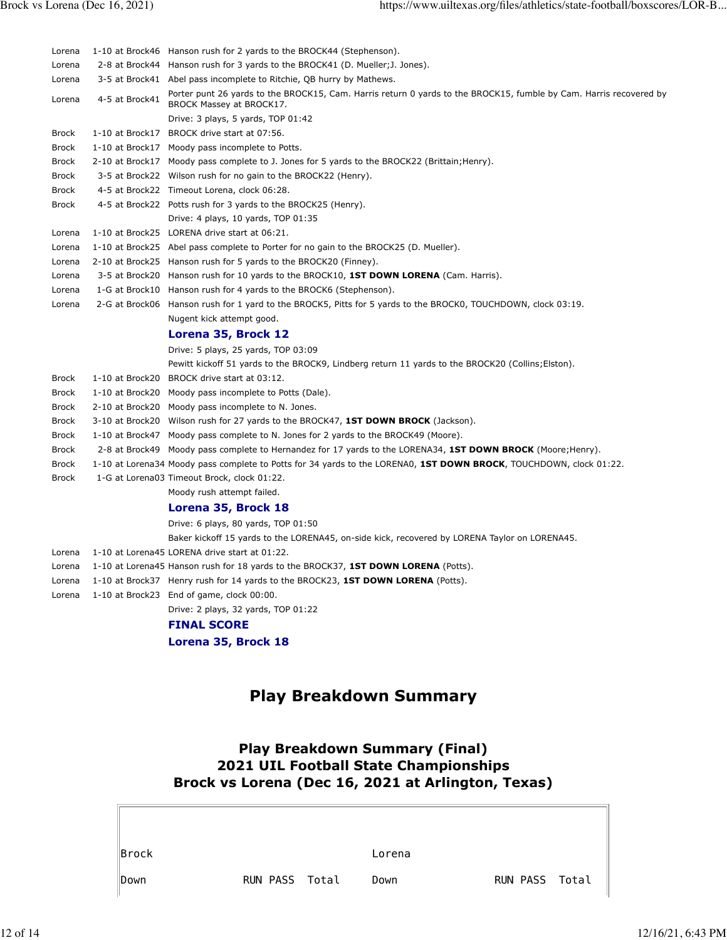| Lorena         |                 | 1-10 at Brock46 Hanson rush for 2 yards to the BROCK44 (Stephenson).                                                                           |
|----------------|-----------------|------------------------------------------------------------------------------------------------------------------------------------------------|
| Lorena         | 2-8 at Brock44  | Hanson rush for 3 yards to the BROCK41 (D. Mueller; J. Jones).                                                                                 |
| Lorena         |                 | 3-5 at Brock41 Abel pass incomplete to Ritchie, QB hurry by Mathews.                                                                           |
| Lorena         | 4-5 at Brock41  | Porter punt 26 yards to the BROCK15, Cam. Harris return 0 yards to the BROCK15, fumble by Cam. Harris recovered by<br>BROCK Massey at BROCK17. |
|                |                 | Drive: 3 plays, 5 yards, TOP 01:42                                                                                                             |
| <b>Brock</b>   |                 | 1-10 at Brock17 BROCK drive start at 07:56.                                                                                                    |
| <b>Brock</b>   |                 | 1-10 at Brock17 Moody pass incomplete to Potts.                                                                                                |
| <b>Brock</b>   |                 | 2-10 at Brock17 Moody pass complete to J. Jones for 5 yards to the BROCK22 (Brittain; Henry).                                                  |
| Brock<br>Brock |                 | 3-5 at Brock22 Wilson rush for no gain to the BROCK22 (Henry).<br>4-5 at Brock22 Timeout Lorena, clock 06:28.                                  |
| Brock          |                 | 4-5 at Brock22 Potts rush for 3 yards to the BROCK25 (Henry).                                                                                  |
|                |                 | Drive: 4 plays, 10 yards, TOP 01:35                                                                                                            |
| Lorena         |                 | 1-10 at Brock25 LORENA drive start at 06:21.                                                                                                   |
| Lorena         |                 | 1-10 at Brock25 Abel pass complete to Porter for no gain to the BROCK25 (D. Mueller).                                                          |
| Lorena         |                 | 2-10 at Brock25 Hanson rush for 5 yards to the BROCK20 (Finney).                                                                               |
| Lorena         | 3-5 at Brock20  | Hanson rush for 10 yards to the BROCK10, 1ST DOWN LORENA (Cam. Harris).                                                                        |
| Lorena         | 1-G at Brock10  | Hanson rush for 4 yards to the BROCK6 (Stephenson).                                                                                            |
| Lorena         | 2-G at Brock06  | Hanson rush for 1 yard to the BROCK5, Pitts for 5 yards to the BROCK0, TOUCHDOWN, clock 03:19.                                                 |
|                |                 | Nugent kick attempt good.                                                                                                                      |
|                |                 | Lorena 35, Brock 12                                                                                                                            |
|                |                 | Drive: 5 plays, 25 yards, TOP 03:09                                                                                                            |
|                |                 | Pewitt kickoff 51 yards to the BROCK9, Lindberg return 11 yards to the BROCK20 (Collins; Elston).                                              |
| Brock          | 1-10 at Brock20 | BROCK drive start at 03:12.                                                                                                                    |
| <b>Brock</b>   | 1-10 at Brock20 | Moody pass incomplete to Potts (Dale).                                                                                                         |
| Brock          | 2-10 at Brock20 | Moody pass incomplete to N. Jones.                                                                                                             |
| Brock          | 3-10 at Brock20 | Wilson rush for 27 yards to the BROCK47, 1ST DOWN BROCK (Jackson).                                                                             |
| Brock          | 1-10 at Brock47 | Moody pass complete to N. Jones for 2 yards to the BROCK49 (Moore).                                                                            |
| Brock          | 2-8 at Brock49  | Moody pass complete to Hernandez for 17 yards to the LORENA34, 1ST DOWN BROCK (Moore; Henry).                                                  |
| Brock          |                 | 1-10 at Lorena34 Moody pass complete to Potts for 34 yards to the LORENA0, 1ST DOWN BROCK, TOUCHDOWN, clock 01:22.                             |
| Brock          |                 | 1-G at Lorena03 Timeout Brock, clock 01:22.                                                                                                    |
|                |                 | Moody rush attempt failed.                                                                                                                     |
|                |                 | Lorena 35, Brock 18                                                                                                                            |
|                |                 | Drive: 6 plays, 80 yards, TOP 01:50                                                                                                            |
|                |                 | Baker kickoff 15 yards to the LORENA45, on-side kick, recovered by LORENA Taylor on LORENA45.                                                  |
| Lorena         |                 | 1-10 at Lorena45 LORENA drive start at 01:22.                                                                                                  |
| Lorena         |                 | 1-10 at Lorena45 Hanson rush for 18 yards to the BROCK37, 1ST DOWN LORENA (Potts).                                                             |
| Lorena         |                 | 1-10 at Brock37 Henry rush for 14 yards to the BROCK23, 1ST DOWN LORENA (Potts).                                                               |
| Lorena         |                 | 1-10 at Brock23 End of game, clock 00:00.                                                                                                      |
|                |                 | Drive: 2 plays, 32 yards, TOP 01:22                                                                                                            |
|                |                 | <b>FINAL SCORE</b>                                                                                                                             |
|                |                 | Lorena 35, Brock 18                                                                                                                            |
|                |                 |                                                                                                                                                |
|                |                 | <b>Play Breakdown Summary</b>                                                                                                                  |
|                |                 | <b>Play Breakdown Summary (Final)</b><br>2021 UIL Football State Championships<br>Brock vs Lorena (Dec 16, 2021 at Arlington, Texas)           |
|                |                 |                                                                                                                                                |
|                | Brock           | Lorena                                                                                                                                         |

**Down RUN PASS Total Down RUN PASS Total**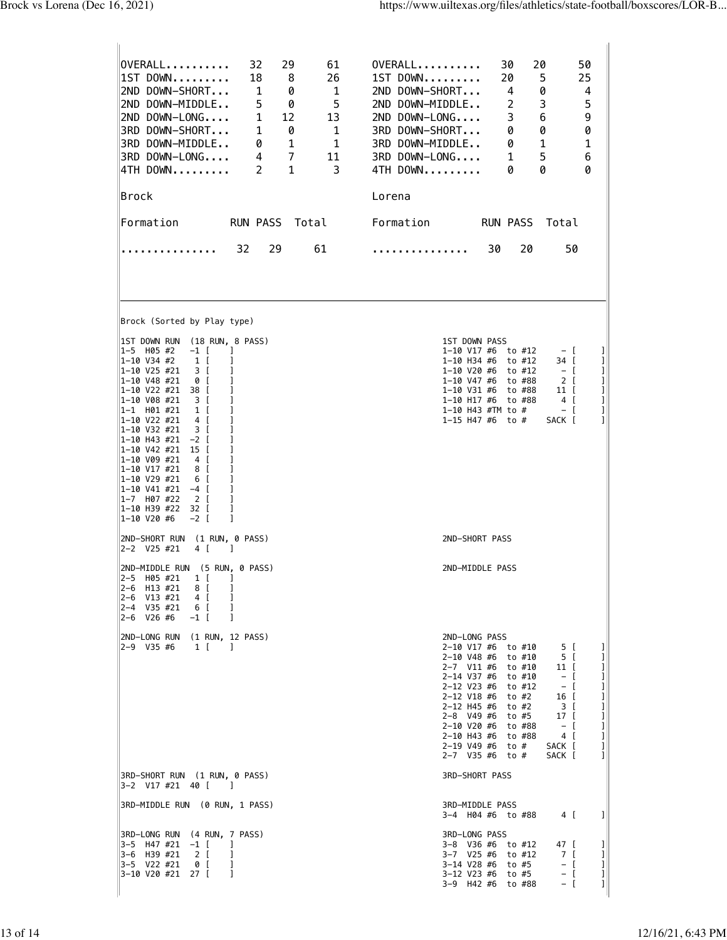| OVERALL<br>32<br>29<br>61<br>26<br>IIST DOWN<br>18<br>8<br>2ND DOWN-SHORT<br>1<br>1<br>0<br>5<br>2ND DOWN-MIDDLE<br>5<br>0<br>2ND DOWN-LONG<br>1<br>12<br>13<br>3RD DOWN-SHORT<br>1<br>0<br>$\mathbf{1}$<br>$\overline{1}$<br>3RD DOWN-MIDDLE<br>1<br>0<br>$\overline{7}$<br>3RD DOWN-LONG<br>4<br>11<br>4TH DOWN<br>$\mathbf{1}$<br>3<br>2<br>∣Brock                                                                                                                                                                                   | OVERALL<br>30<br>20<br>50<br>25<br>$1ST$ DOWN<br>20<br>5<br>0<br>$\overline{4}$<br>2ND DOWN-SHORT<br>4<br>3<br>5<br>2ND DOWN-MIDDLE<br>2<br>6<br>9<br>2ND DOWN-LONG<br>3<br>0<br>3RD DOWN-SHORT<br>0<br>0<br>3RD DOWN-MIDDLE<br>1<br>1<br>0<br>3RD DOWN-LONG<br>5<br>6<br>1<br>0<br>4TH DOWN<br>0<br>Ø<br>Lorena                                                                                                                                                 |
|-----------------------------------------------------------------------------------------------------------------------------------------------------------------------------------------------------------------------------------------------------------------------------------------------------------------------------------------------------------------------------------------------------------------------------------------------------------------------------------------------------------------------------------------|------------------------------------------------------------------------------------------------------------------------------------------------------------------------------------------------------------------------------------------------------------------------------------------------------------------------------------------------------------------------------------------------------------------------------------------------------------------|
| <b>RUN PASS</b><br>Total<br>Formation                                                                                                                                                                                                                                                                                                                                                                                                                                                                                                   | Formation<br><b>RUN PASS</b><br>Total                                                                                                                                                                                                                                                                                                                                                                                                                            |
| 29<br>61<br>32<br>.                                                                                                                                                                                                                                                                                                                                                                                                                                                                                                                     | 20<br>50<br>30<br>.                                                                                                                                                                                                                                                                                                                                                                                                                                              |
| Brock (Sorted by Play type)                                                                                                                                                                                                                                                                                                                                                                                                                                                                                                             |                                                                                                                                                                                                                                                                                                                                                                                                                                                                  |
| IST DOWN RUN (18 RUN, 8 PASS)<br>l1-5 H05 #2<br>$-1$ [<br>-1<br>l1-10 V34 #2<br>1 [<br>1<br>1-10 V25 #21<br>3 I<br>1<br>1-10 V48 #21<br>0 [<br>1<br>1-10 V22 #21<br>38 [<br> 1-10 V08 #21<br>3 [<br>1<br> 1-1 H01 #21<br>1 I<br>1<br>1-10 V22 #21<br>4 I<br>1-10 V32 #21<br>3 [<br>ı<br> 1–10 H43 #21  −2 [<br> 1-10 V42 #21<br>15 I<br> 1-10 V09 #21<br>4 I<br>1<br>1-10 V17 #21<br>8 I<br>1-10 V29 #21<br>6 I<br>1<br> 1-10 V41 #21  -4 [<br>1<br>1-7 H07 #22<br>2 [<br>1<br>1-10 H39 #22<br>1<br>32 L<br> 1-10 V20 #6<br>$-2$ [<br>1 | 1ST DOWN PASS<br>$1-10$ V17 #6 to #12<br>$-$ [<br>T<br>1-10 H34 #6 to #12<br>34 I<br>T<br>П<br>1-10 V20 #6 to #12<br>$-$ [<br>$\mathbf{I}$<br>1-10 V47 #6 to #88<br>2 [<br>I<br>1-10 V31 #6<br>11 I<br>to #88<br>$\mathbf{I}$<br>1-10 H17 #6 to #88<br>4 [<br>1<br>1-10 H43 #TM to #<br>- [<br>П<br>1-15 H47 #6 to #<br>SACK [                                                                                                                                   |
| (1 RUN, 0 PASS)<br>2ND-SHORT RUN<br>$ 2-2 \tV25 #21 $<br>4 [<br>$\Box$                                                                                                                                                                                                                                                                                                                                                                                                                                                                  | 2ND-SHORT PASS                                                                                                                                                                                                                                                                                                                                                                                                                                                   |
| 2ND-MIDDLE RUN (5 RUN, 0 PASS)<br>$1\left[$<br>2-5 H05 #21<br>1<br>$2 - 6$<br>H13 #21<br>8 [<br>1<br>2-6 V13 #21<br>4 [<br>2-4 V35 #21<br>6 [<br>1<br>l2-6<br>V26 #6<br>$-1$ [<br>1                                                                                                                                                                                                                                                                                                                                                     | 2ND-MIDDLE PASS                                                                                                                                                                                                                                                                                                                                                                                                                                                  |
| 2ND-LONG RUN<br>$(1$ RUN, 12 PASS)<br>2-9 V35 #6<br>1 I<br>- 1                                                                                                                                                                                                                                                                                                                                                                                                                                                                          | 2ND-LONG PASS<br>2-10 V17 #6 to #10<br>5 [<br>T<br>2-10 V48 #6 to #10<br>5 [<br>1<br>2-7 V11 #6 to #10<br>I<br>11 I<br>2-14 V37 #6 to #10<br>I<br>$-$ [<br>2-12 V23 #6 to #12<br>I<br>$-$ [<br>2-12 V18 #6 to #2<br>1<br>16 [<br>П<br>2-12 H45 #6 to #2<br>3 [<br>2-8 V49 #6 to #5<br>П<br>$17-17$<br>1<br>2-10 V20 #6 to #88<br>$-$ [<br>$\mathbf{I}$<br>2-10 H43 #6<br>to #88<br>4 [<br>$2-19$ V49 #6 to #<br>SACK [<br>I<br>П<br>2-7 V35 #6<br>to #<br>SACK [ |
| 3RD-SHORT RUN (1 RUN, 0 PASS)<br> 3-2 V17 #21 40 [<br>$\blacksquare$                                                                                                                                                                                                                                                                                                                                                                                                                                                                    | <b>3RD-SHORT PASS</b>                                                                                                                                                                                                                                                                                                                                                                                                                                            |
| 3RD-MIDDLE RUN (0 RUN, 1 PASS)                                                                                                                                                                                                                                                                                                                                                                                                                                                                                                          | 3RD-MIDDLE PASS<br>$\mathbf{I}$<br>3-4 H04 #6 to #88<br>4 [                                                                                                                                                                                                                                                                                                                                                                                                      |
| 3RD-LONG RUN (4 RUN, 7 PASS)<br>l3-5 H47#21<br>$-1$ [<br>-1<br>3-6 H39 #21<br>1<br>2 [<br>3-5 V22 #21<br>0 [<br>1<br>3-10 V20 #21 27 [<br>1                                                                                                                                                                                                                                                                                                                                                                                             | 3RD-LONG PASS<br>3-8 V36 #6<br>to #12<br>47 L<br>T<br>3-7 V25 #6<br>to #12<br>7 [<br>Ш<br>3-14 V28 #6 to #5<br>П<br>$ \Box$<br>I<br>3-12 V23 #6 to #5<br>- [<br>П<br>3-9 H42 #6 to #88<br>$-$ [                                                                                                                                                                                                                                                                  |